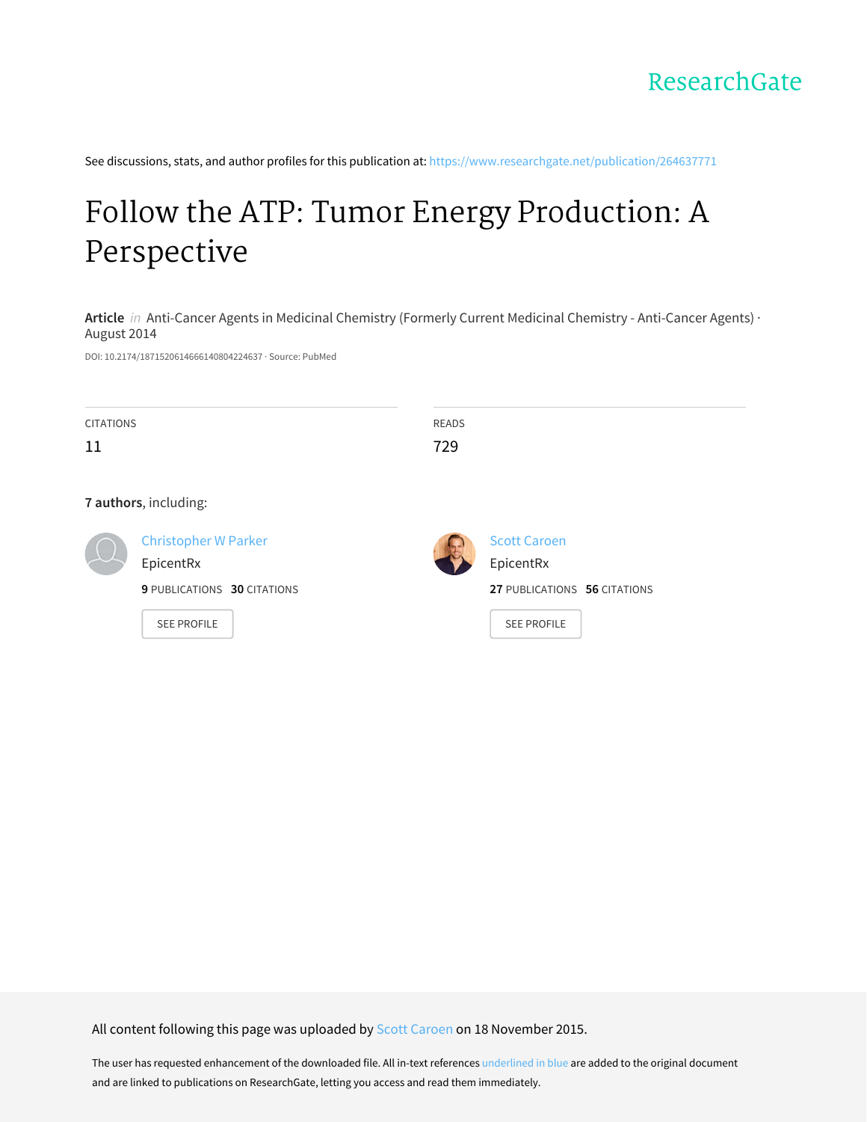See discussions, stats, and author profiles for this publication at: [https://www.researchgate.net/publication/264637771](https://www.researchgate.net/publication/264637771_Follow_the_ATP_Tumor_Energy_Production_A_Perspective?enrichId=rgreq-732366e85863afd1fe6aaaad7f2d5a2b-XXX&enrichSource=Y292ZXJQYWdlOzI2NDYzNzc3MTtBUzoyOTcyMTI1MzQ5MDI3ODVAMTQ0Nzg3MjM5ODM3NQ%3D%3D&el=1_x_2&_esc=publicationCoverPdf)

# Follow the ATP: Tumor Energy [Production:](https://www.researchgate.net/publication/264637771_Follow_the_ATP_Tumor_Energy_Production_A_Perspective?enrichId=rgreq-732366e85863afd1fe6aaaad7f2d5a2b-XXX&enrichSource=Y292ZXJQYWdlOzI2NDYzNzc3MTtBUzoyOTcyMTI1MzQ5MDI3ODVAMTQ0Nzg3MjM5ODM3NQ%3D%3D&el=1_x_3&_esc=publicationCoverPdf) A Perspective

**Article** in Anti-Cancer Agents in Medicinal Chemistry (Formerly Current Medicinal Chemistry - Anti-Cancer Agents) · August 2014

DOI: 10.2174/1871520614666140804224637 · Source: PubMed

| <b>CITATIONS</b><br>11                               |                                                                | READS<br>729 |                                                                 |
|------------------------------------------------------|----------------------------------------------------------------|--------------|-----------------------------------------------------------------|
| 7 authors, including:<br><b>Christopher W Parker</b> |                                                                |              | <b>Scott Caroen</b>                                             |
|                                                      | EpicentRx<br>9 PUBLICATIONS 30 CITATIONS<br><b>SEE PROFILE</b> |              | EpicentRx<br>27 PUBLICATIONS 56 CITATIONS<br><b>SEE PROFILE</b> |

All content following this page was uploaded by Scott [Caroen](https://www.researchgate.net/profile/Scott_Caroen?enrichId=rgreq-732366e85863afd1fe6aaaad7f2d5a2b-XXX&enrichSource=Y292ZXJQYWdlOzI2NDYzNzc3MTtBUzoyOTcyMTI1MzQ5MDI3ODVAMTQ0Nzg3MjM5ODM3NQ%3D%3D&el=1_x_10&_esc=publicationCoverPdf) on 18 November 2015.

The user has requested enhancement of the downloaded file. All in-text references underlined in blue are added to the original document and are linked to publications on ResearchGate, letting you access and read them immediately.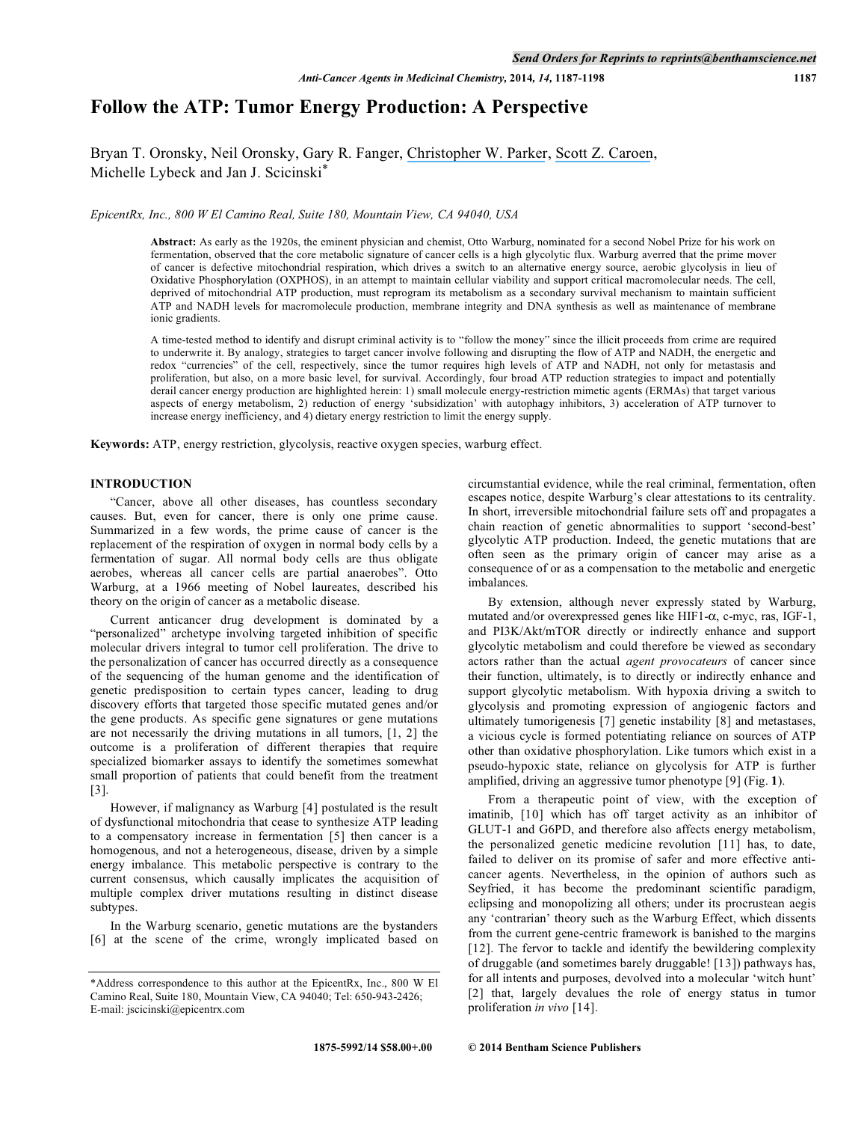# **Follow the ATP: Tumor Energy Production: A Perspective**

Bryan T. Oronsky, Neil Oronsky, Gary R. Fanger, [Christopher W. Parker](https://www.researchgate.net/profile/Christopher_Parker9?el=1_x_100&enrichId=rgreq-732366e85863afd1fe6aaaad7f2d5a2b-XXX&enrichSource=Y292ZXJQYWdlOzI2NDYzNzc3MTtBUzoyOTcyMTI1MzQ5MDI3ODVAMTQ0Nzg3MjM5ODM3NQ==), [Scott Z. Caroen](https://www.researchgate.net/profile/Scott_Caroen?el=1_x_100&enrichId=rgreq-732366e85863afd1fe6aaaad7f2d5a2b-XXX&enrichSource=Y292ZXJQYWdlOzI2NDYzNzc3MTtBUzoyOTcyMTI1MzQ5MDI3ODVAMTQ0Nzg3MjM5ODM3NQ==), Michelle Lybeck and Jan J. Scicinski\*

*EpicentRx, Inc., 800 W El Camino Real, Suite 180, Mountain View, CA 94040, USA* 

**Abstract:** As early as the 1920s, the eminent physician and chemist, Otto Warburg, nominated for a second Nobel Prize for his work on fermentation, observed that the core metabolic signature of cancer cells is a high glycolytic flux. Warburg averred that the prime mover of cancer is defective mitochondrial respiration, which drives a switch to an alternative energy source, aerobic glycolysis in lieu of Oxidative Phosphorylation (OXPHOS), in an attempt to maintain cellular viability and support critical macromolecular needs. The cell, deprived of mitochondrial ATP production, must reprogram its metabolism as a secondary survival mechanism to maintain sufficient ATP and NADH levels for macromolecule production, membrane integrity and DNA synthesis as well as maintenance of membrane ionic gradients.

A time-tested method to identify and disrupt criminal activity is to "follow the money" since the illicit proceeds from crime are required to underwrite it. By analogy, strategies to target cancer involve following and disrupting the flow of ATP and NADH, the energetic and redox "currencies" of the cell, respectively, since the tumor requires high levels of ATP and NADH, not only for metastasis and proliferation, but also, on a more basic level, for survival. Accordingly, four broad ATP reduction strategies to impact and potentially derail cancer energy production are highlighted herein: 1) small molecule energy-restriction mimetic agents (ERMAs) that target various aspects of energy metabolism, 2) reduction of energy 'subsidization' with autophagy inhibitors, 3) acceleration of ATP turnover to increase energy inefficiency, and 4) dietary energy restriction to limit the energy supply.

**Keywords:** ATP, energy restriction, glycolysis, reactive oxygen species, warburg effect.

# **INTRODUCTION**

 "Cancer, above all other diseases, has countless secondary causes. But, even for cancer, there is only one prime cause. Summarized in a few words, the prime cause of cancer is the replacement of the respiration of oxygen in normal body cells by a fermentation of sugar. All normal body cells are thus obligate aerobes, whereas all cancer cells are partial anaerobes". Otto Warburg, at a 1966 meeting of Nobel laureates, described his theory on the origin of cancer as a metabolic disease.

 Current anticancer drug development is dominated by a "personalized" archetype involving targeted inhibition of specific molecular drivers integral to tumor cell proliferation. The drive to the personalization of cancer has occurred directly as a consequence of the sequencing of the human genome and the identification of genetic predisposition to certain types cancer, leading to drug discovery efforts that targeted those specific mutated genes and/or the gene products. As specific gene signatures or gene mutations are not necessarily the driving mutations in all tumors, [1, 2] the outcome is a proliferation of different therapies that require specialized biomarker assays to identify the sometimes somewhat small proportion of patients that could benefit from the treatment [3].

 However, if malignancy as Warburg [4] postulated is the result of dysfunctional mitochondria that cease to synthesize ATP leading to a compensatory increase in fermentation [5] then cancer is a homogenous, and not a heterogeneous, disease, driven by a simple energy imbalance. This metabolic perspective is contrary to the current consensus, which causally implicates the acquisition of multiple complex driver mutations resulting in distinct disease subtypes.

 In the Warburg scenario, genetic mutations are the bystanders [6] at the scene of the crime, wrongly implicated based on circumstantial evidence, while the real criminal, fermentation, often escapes notice, despite Warburg's clear attestations to its centrality. In short, irreversible mitochondrial failure sets off and propagates a chain reaction of genetic abnormalities to support 'second-best' glycolytic ATP production. Indeed, the genetic mutations that are often seen as the primary origin of cancer may arise as a consequence of or as a compensation to the metabolic and energetic imbalances.

 By extension, although never expressly stated by Warburg, mutated and/or overexpressed genes like HIF1-α, c-myc, ras, IGF-1, and PI3K/Akt/mTOR directly or indirectly enhance and support glycolytic metabolism and could therefore be viewed as secondary actors rather than the actual *agent provocateurs* of cancer since their function, ultimately, is to directly or indirectly enhance and support glycolytic metabolism. With hypoxia driving a switch to glycolysis and promoting expression of angiogenic factors and ultimately tumorigenesis [7] genetic instability [8] and metastases, a vicious cycle is formed potentiating reliance on sources of ATP other than oxidative phosphorylation. Like tumors which exist in a pseudo-hypoxic state, reliance on glycolysis for ATP is further amplified, driving an aggressive tumor phenotype [9] (Fig. **1**).

 From a therapeutic point of view, with the exception of imatinib, [10] which has off target activity as an inhibitor of GLUT-1 and G6PD, and therefore also affects energy metabolism, the personalized genetic medicine revolution [11] has, to date, failed to deliver on its promise of safer and more effective anticancer agents. Nevertheless, in the opinion of authors such as Seyfried, it has become the predominant scientific paradigm, eclipsing and monopolizing all others; under its procrustean aegis any 'contrarian' theory such as the Warburg Effect, which dissents from the current gene-centric framework is banished to the margins [12]. The fervor to tackle and identify the bewildering complexity of druggable (and sometimes barely druggable! [13]) pathways has, for all intents and purposes, devolved into a molecular 'witch hunt' [2] that, largely devalues the role of energy status in tumor proliferation *in vivo* [14].

<sup>\*</sup>Address correspondence to this author at the EpicentRx, Inc., 800 W El Camino Real, Suite 180, Mountain View, CA 94040; Tel: 650-943-2426; E-mail: jscicinski@epicentrx.com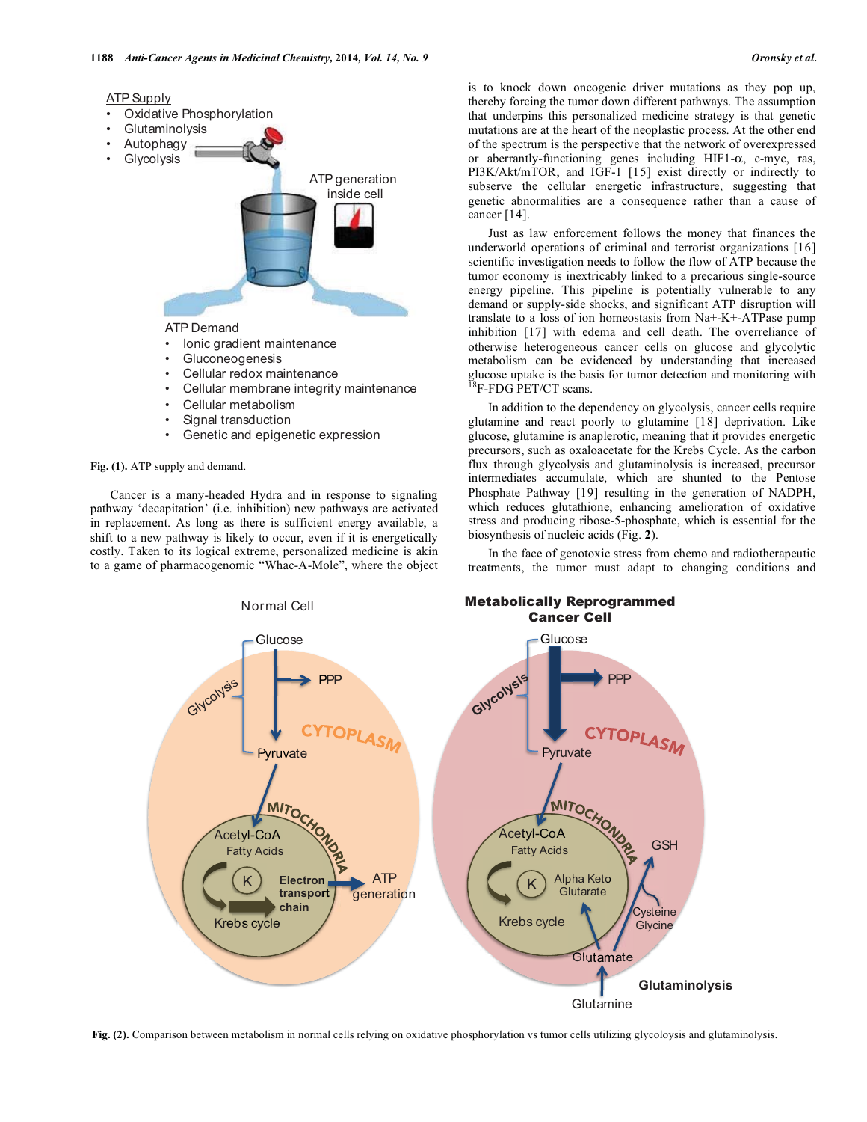

- **Gluconeogenesis**
- Cellular redox maintenance
- Cellular membrane integrity maintenance
- Cellular metabolism
- Signal transduction
- Genetic and epigenetic expression

**Fig. (1).** ATP supply and demand.

 Cancer is a many-headed Hydra and in response to signaling pathway 'decapitation' (i.e. inhibition) new pathways are activated in replacement. As long as there is sufficient energy available, a shift to a new pathway is likely to occur, even if it is energetically costly. Taken to its logical extreme, personalized medicine is akin to a game of pharmacogenomic "Whac-A-Mole", where the object is to knock down oncogenic driver mutations as they pop up, thereby forcing the tumor down different pathways. The assumption that underpins this personalized medicine strategy is that genetic mutations are at the heart of the neoplastic process. At the other end of the spectrum is the perspective that the network of overexpressed or aberrantly-functioning genes including HIF1-α, c-myc, ras, PI3K/Akt/mTOR, and IGF-1 [15] exist directly or indirectly to subserve the cellular energetic infrastructure, suggesting that genetic abnormalities are a consequence rather than a cause of cancer [14].

 Just as law enforcement follows the money that finances the underworld operations of criminal and terrorist organizations [16] scientific investigation needs to follow the flow of ATP because the tumor economy is inextricably linked to a precarious single-source energy pipeline. This pipeline is potentially vulnerable to any demand or supply-side shocks, and significant ATP disruption will translate to a loss of ion homeostasis from Na+-K+-ATPase pump inhibition [17] with edema and cell death. The overreliance of otherwise heterogeneous cancer cells on glucose and glycolytic metabolism can be evidenced by understanding that increased glucose uptake is the basis for tumor detection and monitoring with <sup>18</sup>F-FDG PET/CT scans.

 In addition to the dependency on glycolysis, cancer cells require glutamine and react poorly to glutamine [18] deprivation. Like glucose, glutamine is anaplerotic, meaning that it provides energetic precursors, such as oxaloacetate for the Krebs Cycle. As the carbon flux through glycolysis and glutaminolysis is increased, precursor intermediates accumulate, which are shunted to the Pentose Phosphate Pathway [19] resulting in the generation of NADPH, which reduces glutathione, enhancing amelioration of oxidative stress and producing ribose-5-phosphate, which is essential for the biosynthesis of nucleic acids (Fig. **2**).

 In the face of genotoxic stress from chemo and radiotherapeutic treatments, the tumor must adapt to changing conditions and



**Fig. (2).** Comparison between metabolism in normal cells relying on oxidative phosphorylation vs tumor cells utilizing glycoloysis and glutaminolysis.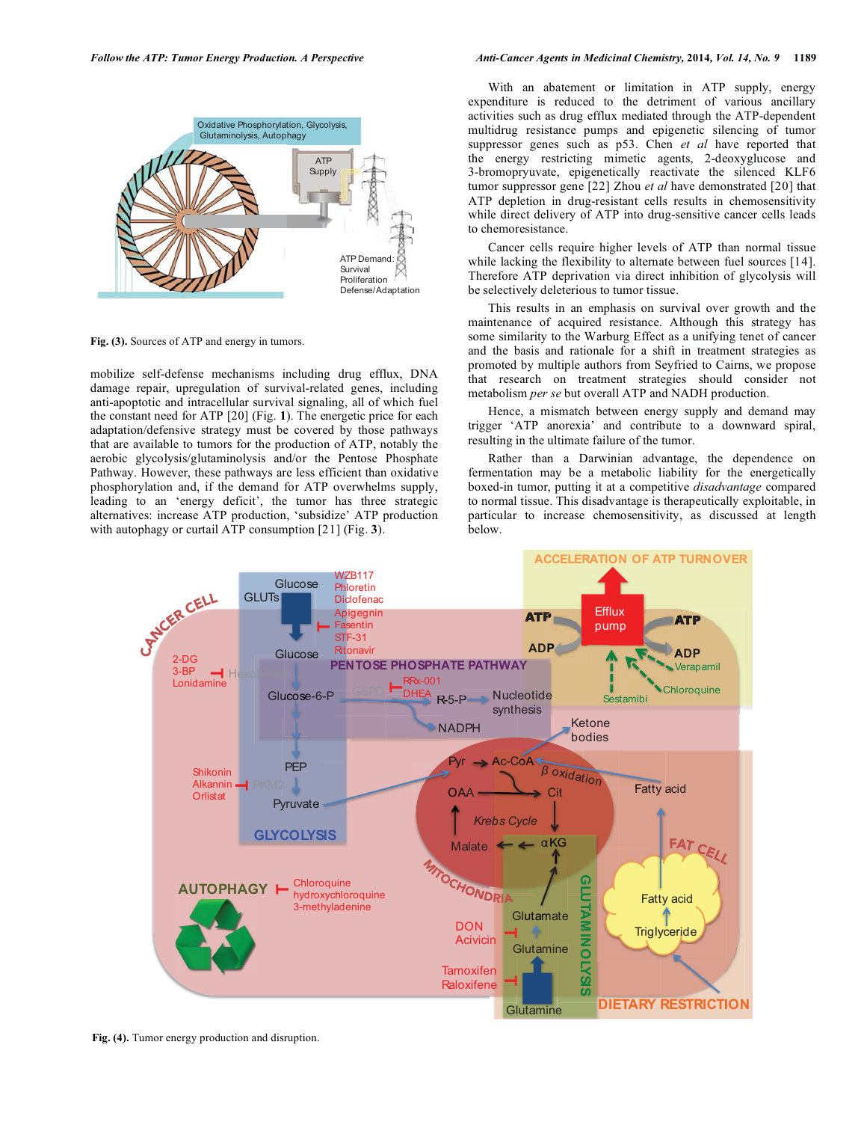

**Fig. (3).** Sources of ATP and energy in tumors.

mobilize self-defense mechanisms including drug efflux, DNA damage repair, upregulation of survival-related genes, including anti-apoptotic and intracellular survival signaling, all of which fuel the constant need for ATP [20] (Fig. **1**). The energetic price for each adaptation/defensive strategy must be covered by those pathways that are available to tumors for the production of ATP, notably the aerobic glycolysis/glutaminolysis and/or the Pentose Phosphate Pathway. However, these pathways are less efficient than oxidative phosphorylation and, if the demand for ATP overwhelms supply, leading to an 'energy deficit', the tumor has three strategic alternatives: increase ATP production, 'subsidize' ATP production with autophagy or curtail ATP consumption [21] (Fig. **3**).

#### *Follow the ATP: Tumor Energy Production. A Perspective Anti-Cancer Agents in Medicinal Chemistry,* **2014***, Vol. 14, No. 9* **1189**

 With an abatement or limitation in ATP supply, energy expenditure is reduced to the detriment of various ancillary activities such as drug efflux mediated through the ATP-dependent multidrug resistance pumps and epigenetic silencing of tumor suppressor genes such as p53. Chen *et al* have reported that the energy restricting mimetic agents, 2-deoxyglucose and 3-bromopryuvate, epigenetically reactivate the silenced KLF6 tumor suppressor gene [22] Zhou *et al* have demonstrated [20] that ATP depletion in drug-resistant cells results in chemosensitivity while direct delivery of ATP into drug-sensitive cancer cells leads to chemoresistance.

 Cancer cells require higher levels of ATP than normal tissue while lacking the flexibility to alternate between fuel sources [14]. Therefore ATP deprivation via direct inhibition of glycolysis will be selectively deleterious to tumor tissue.

 This results in an emphasis on survival over growth and the maintenance of acquired resistance. Although this strategy has some similarity to the Warburg Effect as a unifying tenet of cancer and the basis and rationale for a shift in treatment strategies as promoted by multiple authors from Seyfried to Cairns, we propose that research on treatment strategies should consider not metabolism *per se* but overall ATP and NADH production.

 Hence, a mismatch between energy supply and demand may trigger 'ATP anorexia' and contribute to a downward spiral, resulting in the ultimate failure of the tumor.

 Rather than a Darwinian advantage, the dependence on fermentation may be a metabolic liability for the energetically boxed-in tumor, putting it at a competitive *disadvantage* compared to normal tissue. This disadvantage is therapeutically exploitable, in particular to increase chemosensitivity, as discussed at length below.



**Fig. (4).** Tumor energy production and disruption.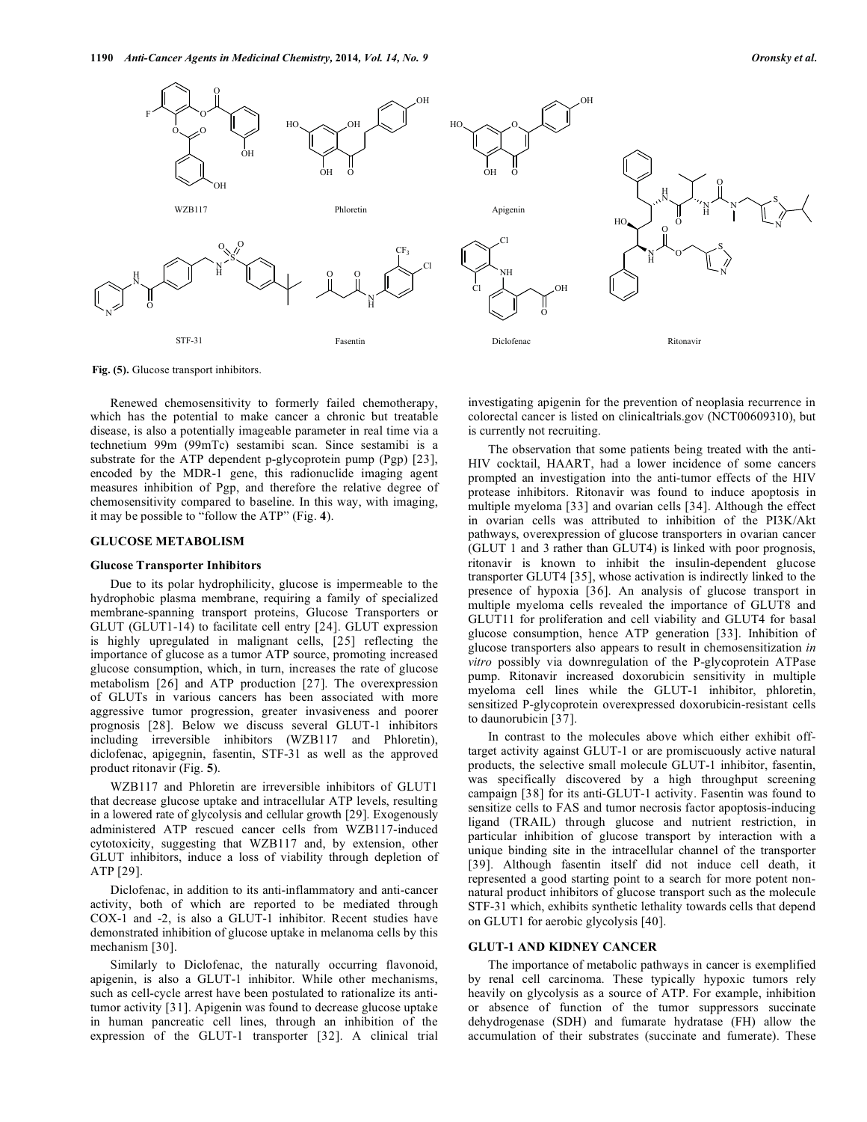

**Fig. (5).** Glucose transport inhibitors.

 Renewed chemosensitivity to formerly failed chemotherapy, which has the potential to make cancer a chronic but treatable disease, is also a potentially imageable parameter in real time via a technetium 99m (99mTc) sestamibi scan. Since sestamibi is a substrate for the ATP dependent p-glycoprotein pump (Pgp) [23], encoded by the MDR-1 gene, this radionuclide imaging agent measures inhibition of Pgp, and therefore the relative degree of chemosensitivity compared to baseline. In this way, with imaging, it may be possible to "follow the ATP" (Fig. **4**).

#### **GLUCOSE METABOLISM**

#### **Glucose Transporter Inhibitors**

 Due to its polar hydrophilicity, glucose is impermeable to the hydrophobic plasma membrane, requiring a family of specialized membrane-spanning transport proteins, Glucose Transporters or GLUT (GLUT1-14) to facilitate cell entry [24]. GLUT expression is highly upregulated in malignant cells, [25] reflecting the importance of glucose as a tumor ATP source, promoting increased glucose consumption, which, in turn, increases the rate of glucose metabolism [26] and ATP production [27]. The overexpression of GLUTs in various cancers has been associated with more aggressive tumor progression, greater invasiveness and poorer prognosis [28]. Below we discuss several GLUT-1 inhibitors including irreversible inhibitors (WZB117 and Phloretin), diclofenac, apigegnin, fasentin, STF-31 as well as the approved product ritonavir (Fig. **5**).

 WZB117 and Phloretin are irreversible inhibitors of GLUT1 that decrease glucose uptake and intracellular ATP levels, resulting in a lowered rate of glycolysis and cellular growth [29]. Exogenously administered ATP rescued cancer cells from WZB117-induced cytotoxicity, suggesting that WZB117 and, by extension, other GLUT inhibitors, induce a loss of viability through depletion of ATP [29].

 Diclofenac, in addition to its anti-inflammatory and anti-cancer activity, both of which are reported to be mediated through COX-1 and -2, is also a GLUT-1 inhibitor. Recent studies have demonstrated inhibition of glucose uptake in melanoma cells by this mechanism [30].

 Similarly to Diclofenac, the naturally occurring flavonoid, apigenin, is also a GLUT-1 inhibitor. While other mechanisms, such as cell-cycle arrest have been postulated to rationalize its antitumor activity [31]. Apigenin was found to decrease glucose uptake in human pancreatic cell lines, through an inhibition of the expression of the GLUT-1 transporter [32]. A clinical trial investigating apigenin for the prevention of neoplasia recurrence in colorectal cancer is listed on clinicaltrials.gov (NCT00609310), but is currently not recruiting.

 The observation that some patients being treated with the anti-HIV cocktail, HAART, had a lower incidence of some cancers prompted an investigation into the anti-tumor effects of the HIV protease inhibitors. Ritonavir was found to induce apoptosis in multiple myeloma [33] and ovarian cells [34]. Although the effect in ovarian cells was attributed to inhibition of the PI3K/Akt pathways, overexpression of glucose transporters in ovarian cancer (GLUT 1 and 3 rather than GLUT4) is linked with poor prognosis, ritonavir is known to inhibit the insulin-dependent glucose transporter GLUT4 [35], whose activation is indirectly linked to the presence of hypoxia [36]. An analysis of glucose transport in multiple myeloma cells revealed the importance of GLUT8 and GLUT11 for proliferation and cell viability and GLUT4 for basal glucose consumption, hence ATP generation [33]. Inhibition of glucose transporters also appears to result in chemosensitization *in vitro* possibly via downregulation of the P-glycoprotein ATPase pump. Ritonavir increased doxorubicin sensitivity in multiple myeloma cell lines while the GLUT-1 inhibitor, phloretin, sensitized P-glycoprotein overexpressed doxorubicin-resistant cells to daunorubicin [37].

 In contrast to the molecules above which either exhibit offtarget activity against GLUT-1 or are promiscuously active natural products, the selective small molecule GLUT-1 inhibitor, fasentin, was specifically discovered by a high throughput screening campaign [38] for its anti-GLUT-1 activity. Fasentin was found to sensitize cells to FAS and tumor necrosis factor apoptosis-inducing ligand (TRAIL) through glucose and nutrient restriction, in particular inhibition of glucose transport by interaction with a unique binding site in the intracellular channel of the transporter [39]. Although fasentin itself did not induce cell death, it represented a good starting point to a search for more potent nonnatural product inhibitors of glucose transport such as the molecule STF-31 which, exhibits synthetic lethality towards cells that depend on GLUT1 for aerobic glycolysis [40].

#### **GLUT-1 AND KIDNEY CANCER**

 The importance of metabolic pathways in cancer is exemplified by renal cell carcinoma. These typically hypoxic tumors rely heavily on glycolysis as a source of ATP. For example, inhibition or absence of function of the tumor suppressors succinate dehydrogenase (SDH) and fumarate hydratase (FH) allow the accumulation of their substrates (succinate and fumerate). These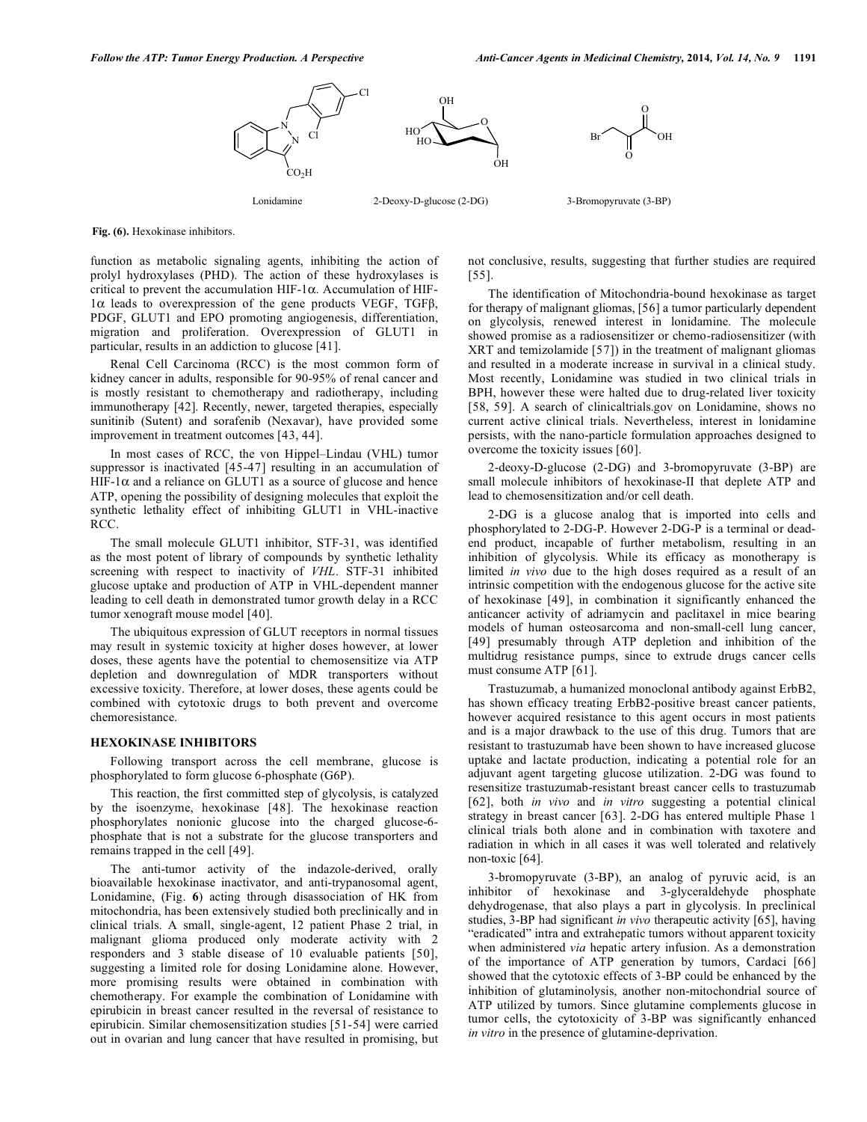

Lonidamine 2-Deoxy-D-glucose (2-DG)

3-Bromopyruvate (3-BP)

**Fig. (6).** Hexokinase inhibitors.

function as metabolic signaling agents, inhibiting the action of prolyl hydroxylases (PHD). The action of these hydroxylases is critical to prevent the accumulation HIF-1α. Accumulation of HIF-1α leads to overexpression of the gene products VEGF, TGFβ, PDGF, GLUT1 and EPO promoting angiogenesis, differentiation, migration and proliferation. Overexpression of GLUT1 in particular, results in an addiction to glucose [41].

 Renal Cell Carcinoma (RCC) is the most common form of kidney cancer in adults, responsible for 90-95% of renal cancer and is mostly resistant to chemotherapy and radiotherapy, including immunotherapy [42]. Recently, newer, targeted therapies, especially sunitinib (Sutent) and sorafenib (Nexavar), have provided some improvement in treatment outcomes [43, 44].

 In most cases of RCC, the von Hippel–Lindau (VHL) tumor suppressor is inactivated [45-47] resulting in an accumulation of HIF-1 $\alpha$  and a reliance on GLUT1 as a source of glucose and hence ATP, opening the possibility of designing molecules that exploit the synthetic lethality effect of inhibiting GLUT1 in VHL-inactive RCC.

 The small molecule GLUT1 inhibitor, STF-31, was identified as the most potent of library of compounds by synthetic lethality screening with respect to inactivity of *VHL*. STF-31 inhibited glucose uptake and production of ATP in VHL-dependent manner leading to cell death in demonstrated tumor growth delay in a RCC tumor xenograft mouse model [40].

 The ubiquitous expression of GLUT receptors in normal tissues may result in systemic toxicity at higher doses however, at lower doses, these agents have the potential to chemosensitize via ATP depletion and downregulation of MDR transporters without excessive toxicity. Therefore, at lower doses, these agents could be combined with cytotoxic drugs to both prevent and overcome chemoresistance.

#### **HEXOKINASE INHIBITORS**

 Following transport across the cell membrane, glucose is phosphorylated to form glucose 6-phosphate (G6P).

 This reaction, the first committed step of glycolysis, is catalyzed by the isoenzyme, hexokinase [48]. The hexokinase reaction phosphorylates nonionic glucose into the charged glucose-6 phosphate that is not a substrate for the glucose transporters and remains trapped in the cell [49].

 The anti-tumor activity of the indazole-derived, orally bioavailable hexokinase inactivator, and anti-trypanosomal agent, Lonidamine, (Fig. **6**) acting through disassociation of HK from mitochondria, has been extensively studied both preclinically and in clinical trials. A small, single-agent, 12 patient Phase 2 trial, in malignant glioma produced only moderate activity with 2 responders and 3 stable disease of 10 evaluable patients [50], suggesting a limited role for dosing Lonidamine alone. However, more promising results were obtained in combination with chemotherapy. For example the combination of Lonidamine with epirubicin in breast cancer resulted in the reversal of resistance to epirubicin. Similar chemosensitization studies [51-54] were carried out in ovarian and lung cancer that have resulted in promising, but not conclusive, results, suggesting that further studies are required [55].

 The identification of Mitochondria-bound hexokinase as target for therapy of malignant gliomas, [56] a tumor particularly dependent on glycolysis, renewed interest in lonidamine. The molecule showed promise as a radiosensitizer or chemo-radiosensitizer (with XRT and temizolamide [57]) in the treatment of malignant gliomas and resulted in a moderate increase in survival in a clinical study. Most recently, Lonidamine was studied in two clinical trials in BPH, however these were halted due to drug-related liver toxicity [58, 59]. A search of clinicaltrials.gov on Lonidamine, shows no current active clinical trials. Nevertheless, interest in lonidamine persists, with the nano-particle formulation approaches designed to overcome the toxicity issues [60].

 2-deoxy-D-glucose (2-DG) and 3-bromopyruvate (3-BP) are small molecule inhibitors of hexokinase-II that deplete ATP and lead to chemosensitization and/or cell death.

 2-DG is a glucose analog that is imported into cells and phosphorylated to 2-DG-P. However 2-DG-P is a terminal or deadend product, incapable of further metabolism, resulting in an inhibition of glycolysis. While its efficacy as monotherapy is limited *in vivo* due to the high doses required as a result of an intrinsic competition with the endogenous glucose for the active site of hexokinase [49], in combination it significantly enhanced the anticancer activity of adriamycin and paclitaxel in mice bearing models of human osteosarcoma and non-small-cell lung cancer, [49] presumably through ATP depletion and inhibition of the multidrug resistance pumps, since to extrude drugs cancer cells must consume ATP [61].

 Trastuzumab, a humanized monoclonal antibody against ErbB2, has shown efficacy treating ErbB2-positive breast cancer patients, however acquired resistance to this agent occurs in most patients and is a major drawback to the use of this drug. Tumors that are resistant to trastuzumab have been shown to have increased glucose uptake and lactate production, indicating a potential role for an adjuvant agent targeting glucose utilization. 2-DG was found to resensitize trastuzumab-resistant breast cancer cells to trastuzumab [62], both *in vivo* and *in vitro* suggesting a potential clinical strategy in breast cancer [63]. 2-DG has entered multiple Phase 1 clinical trials both alone and in combination with taxotere and radiation in which in all cases it was well tolerated and relatively non-toxic [64].

 3-bromopyruvate (3-BP), an analog of pyruvic acid, is an inhibitor of hexokinase and 3-glyceraldehyde phosphate dehydrogenase, that also plays a part in glycolysis. In preclinical studies, 3-BP had significant *in vivo* therapeutic activity [65], having "eradicated" intra and extrahepatic tumors without apparent toxicity when administered *via* hepatic artery infusion. As a demonstration of the importance of ATP generation by tumors, Cardaci [66] showed that the cytotoxic effects of 3-BP could be enhanced by the inhibition of glutaminolysis, another non-mitochondrial source of ATP utilized by tumors. Since glutamine complements glucose in tumor cells, the cytotoxicity of 3-BP was significantly enhanced *in vitro* in the presence of glutamine-deprivation.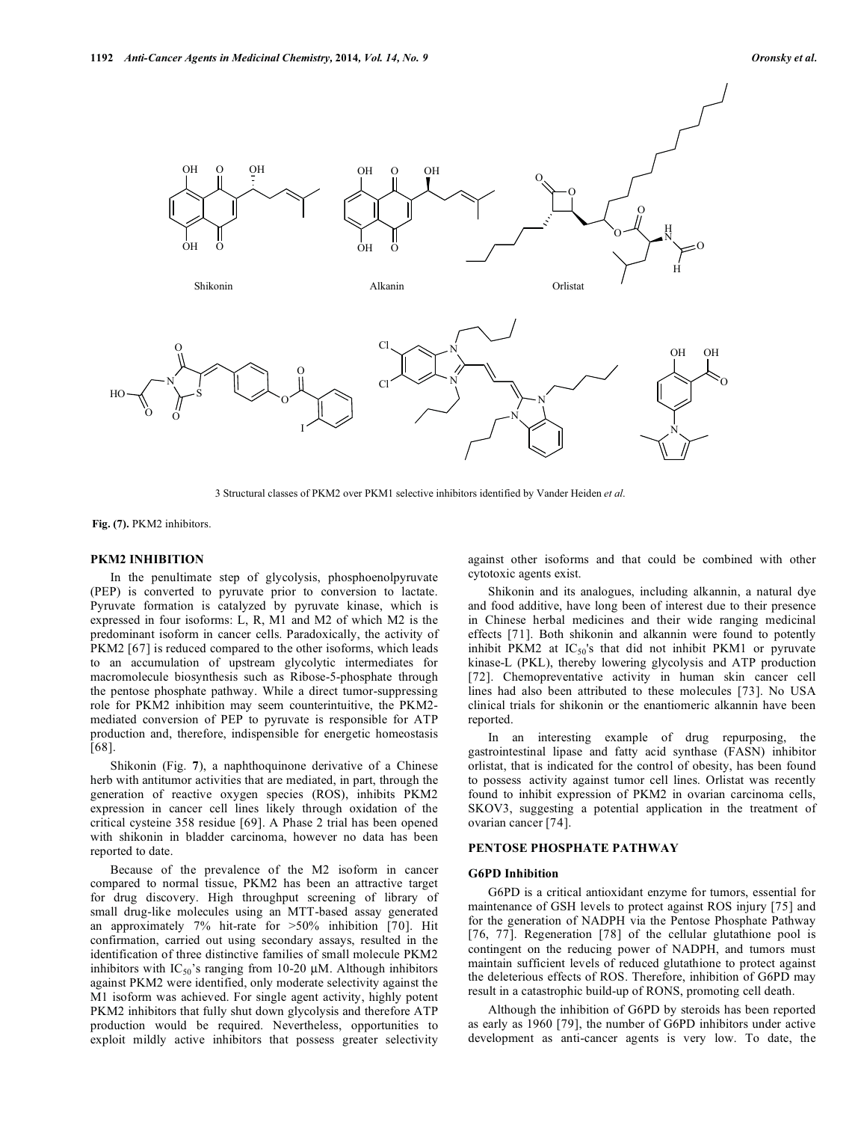

3 Structural classes of PKM2 over PKM1 selective inhibitors identified by Vander Heiden *et al*.

Fig. (7). PKM2 inhibitors.

#### **PKM2 INHIBITION**

 In the penultimate step of glycolysis, phosphoenolpyruvate (PEP) is converted to pyruvate prior to conversion to lactate. Pyruvate formation is catalyzed by pyruvate kinase, which is expressed in four isoforms: L, R, M1 and M2 of which M2 is the predominant isoform in cancer cells. Paradoxically, the activity of PKM2 [67] is reduced compared to the other isoforms, which leads to an accumulation of upstream glycolytic intermediates for macromolecule biosynthesis such as Ribose-5-phosphate through the pentose phosphate pathway. While a direct tumor-suppressing role for PKM2 inhibition may seem counterintuitive, the PKM2 mediated conversion of PEP to pyruvate is responsible for ATP production and, therefore, indispensible for energetic homeostasis [68].

 Shikonin (Fig. **7**), a naphthoquinone derivative of a Chinese herb with antitumor activities that are mediated, in part, through the generation of reactive oxygen species (ROS), inhibits PKM2 expression in cancer cell lines likely through oxidation of the critical cysteine 358 residue [69]. A Phase 2 trial has been opened with shikonin in bladder carcinoma, however no data has been reported to date.

 Because of the prevalence of the M2 isoform in cancer compared to normal tissue, PKM2 has been an attractive target for drug discovery. High throughput screening of library of small drug-like molecules using an MTT-based assay generated an approximately 7% hit-rate for >50% inhibition [70]. Hit confirmation, carried out using secondary assays, resulted in the identification of three distinctive families of small molecule PKM2 inhibitors with  $IC_{50}$ 's ranging from 10-20  $\mu$ M. Although inhibitors against PKM2 were identified, only moderate selectivity against the M1 isoform was achieved. For single agent activity, highly potent PKM2 inhibitors that fully shut down glycolysis and therefore ATP production would be required. Nevertheless, opportunities to exploit mildly active inhibitors that possess greater selectivity against other isoforms and that could be combined with other cytotoxic agents exist.

 Shikonin and its analogues, including alkannin, a natural dye and food additive, have long been of interest due to their presence in Chinese herbal medicines and their wide ranging medicinal effects [71]. Both shikonin and alkannin were found to potently inhibit PKM2 at  $IC_{50}$ 's that did not inhibit PKM1 or pyruvate kinase-L (PKL), thereby lowering glycolysis and ATP production [72]. Chemopreventative activity in human skin cancer cell lines had also been attributed to these molecules [73]. No USA clinical trials for shikonin or the enantiomeric alkannin have been reported.

 In an interesting example of drug repurposing, the gastrointestinal lipase and fatty acid synthase (FASN) inhibitor orlistat, that is indicated for the control of obesity, has been found to possess activity against tumor cell lines. Orlistat was recently found to inhibit expression of PKM2 in ovarian carcinoma cells, SKOV3, suggesting a potential application in the treatment of ovarian cancer [74].

# **PENTOSE PHOSPHATE PATHWAY**

#### **G6PD Inhibition**

 G6PD is a critical antioxidant enzyme for tumors, essential for maintenance of GSH levels to protect against ROS injury [75] and for the generation of NADPH via the Pentose Phosphate Pathway [76, 77]. Regeneration [78] of the cellular glutathione pool is contingent on the reducing power of NADPH, and tumors must maintain sufficient levels of reduced glutathione to protect against the deleterious effects of ROS. Therefore, inhibition of G6PD may result in a catastrophic build-up of RONS, promoting cell death.

 Although the inhibition of G6PD by steroids has been reported as early as 1960 [79], the number of G6PD inhibitors under active development as anti-cancer agents is very low. To date, the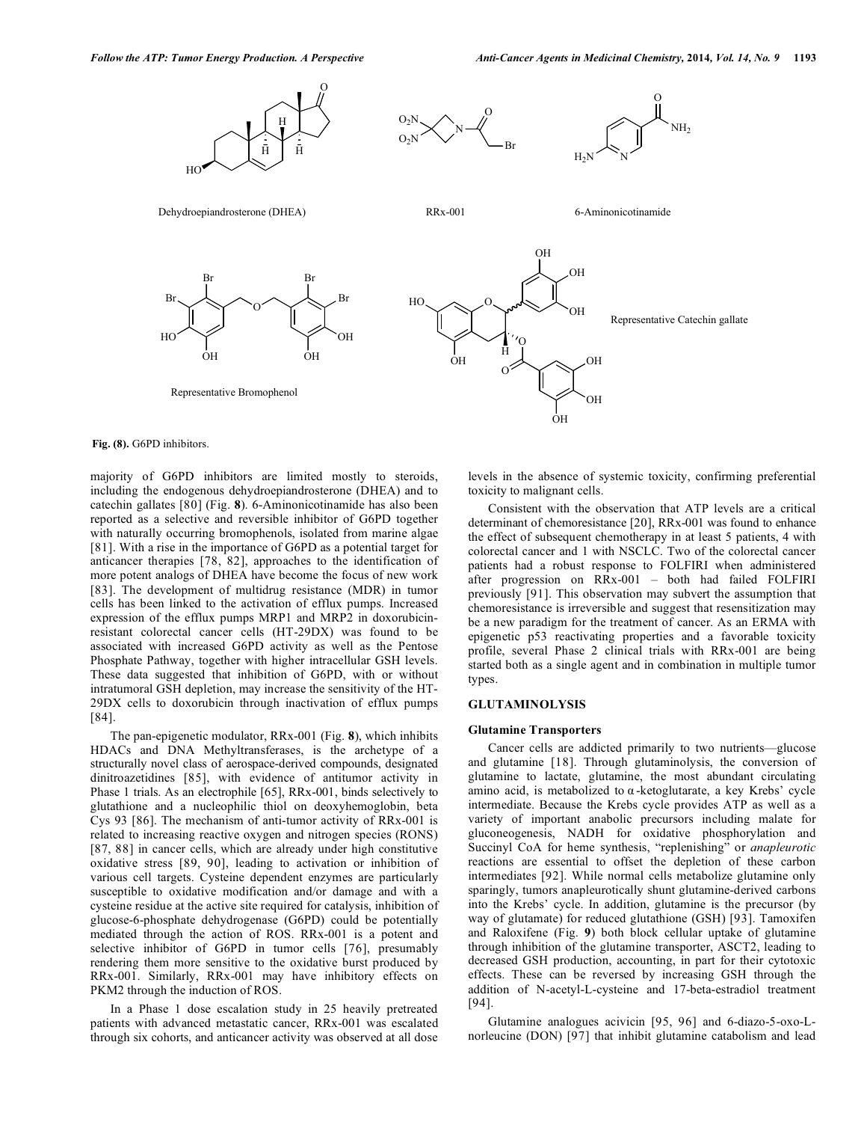

#### **Fig. (8).** G6PD inhibitors.

majority of G6PD inhibitors are limited mostly to steroids, including the endogenous dehydroepiandrosterone (DHEA) and to catechin gallates [80] (Fig. **8**). 6-Aminonicotinamide has also been reported as a selective and reversible inhibitor of G6PD together with naturally occurring bromophenols, isolated from marine algae [81]. With a rise in the importance of G6PD as a potential target for anticancer therapies [78, 82], approaches to the identification of more potent analogs of DHEA have become the focus of new work [83]. The development of multidrug resistance (MDR) in tumor cells has been linked to the activation of efflux pumps. Increased expression of the efflux pumps MRP1 and MRP2 in doxorubicinresistant colorectal cancer cells (HT-29DX) was found to be associated with increased G6PD activity as well as the Pentose Phosphate Pathway, together with higher intracellular GSH levels. These data suggested that inhibition of G6PD, with or without intratumoral GSH depletion, may increase the sensitivity of the HT-29DX cells to doxorubicin through inactivation of efflux pumps [84].

 The pan-epigenetic modulator, RRx-001 (Fig. **8**), which inhibits HDACs and DNA Methyltransferases, is the archetype of a structurally novel class of aerospace-derived compounds, designated dinitroazetidines [85], with evidence of antitumor activity in Phase 1 trials. As an electrophile [65], RRx-001, binds selectively to glutathione and a nucleophilic thiol on deoxyhemoglobin, beta Cys 93 [86]. The mechanism of anti-tumor activity of RRx-001 is related to increasing reactive oxygen and nitrogen species (RONS) [87, 88] in cancer cells, which are already under high constitutive oxidative stress [89, 90], leading to activation or inhibition of various cell targets. Cysteine dependent enzymes are particularly susceptible to oxidative modification and/or damage and with a cysteine residue at the active site required for catalysis, inhibition of glucose-6-phosphate dehydrogenase (G6PD) could be potentially mediated through the action of ROS. RRx-001 is a potent and selective inhibitor of G6PD in tumor cells [76], presumably rendering them more sensitive to the oxidative burst produced by RRx-001. Similarly, RRx-001 may have inhibitory effects on PKM2 through the induction of ROS.

 In a Phase 1 dose escalation study in 25 heavily pretreated patients with advanced metastatic cancer, RRx-001 was escalated through six cohorts, and anticancer activity was observed at all dose levels in the absence of systemic toxicity, confirming preferential toxicity to malignant cells.

 Consistent with the observation that ATP levels are a critical determinant of chemoresistance [20], RRx-001 was found to enhance the effect of subsequent chemotherapy in at least 5 patients, 4 with colorectal cancer and 1 with NSCLC. Two of the colorectal cancer patients had a robust response to FOLFIRI when administered after progression on RRx-001 – both had failed FOLFIRI previously [91]. This observation may subvert the assumption that chemoresistance is irreversible and suggest that resensitization may be a new paradigm for the treatment of cancer. As an ERMA with epigenetic p53 reactivating properties and a favorable toxicity profile, several Phase 2 clinical trials with RRx-001 are being started both as a single agent and in combination in multiple tumor types.

#### **GLUTAMINOLYSIS**

#### **Glutamine Transporters**

 Cancer cells are addicted primarily to two nutrients—glucose and glutamine [18]. Through glutaminolysis, the conversion of glutamine to lactate, glutamine, the most abundant circulating amino acid, is metabolized to α -ketoglutarate, a key Krebs' cycle intermediate. Because the Krebs cycle provides ATP as well as a variety of important anabolic precursors including malate for gluconeogenesis, NADH for oxidative phosphorylation and Succinyl CoA for heme synthesis, "replenishing" or *anapleurotic* reactions are essential to offset the depletion of these carbon intermediates [92]. While normal cells metabolize glutamine only sparingly, tumors anapleurotically shunt glutamine-derived carbons into the Krebs' cycle. In addition, glutamine is the precursor (by way of glutamate) for reduced glutathione (GSH) [93]. Tamoxifen and Raloxifene (Fig. **9**) both block cellular uptake of glutamine through inhibition of the glutamine transporter, ASCT2, leading to decreased GSH production, accounting, in part for their cytotoxic effects. These can be reversed by increasing GSH through the addition of N-acetyl-L-cysteine and 17-beta-estradiol treatment [94].

 Glutamine analogues acivicin [95, 96] and 6-diazo-5-oxo-Lnorleucine (DON) [97] that inhibit glutamine catabolism and lead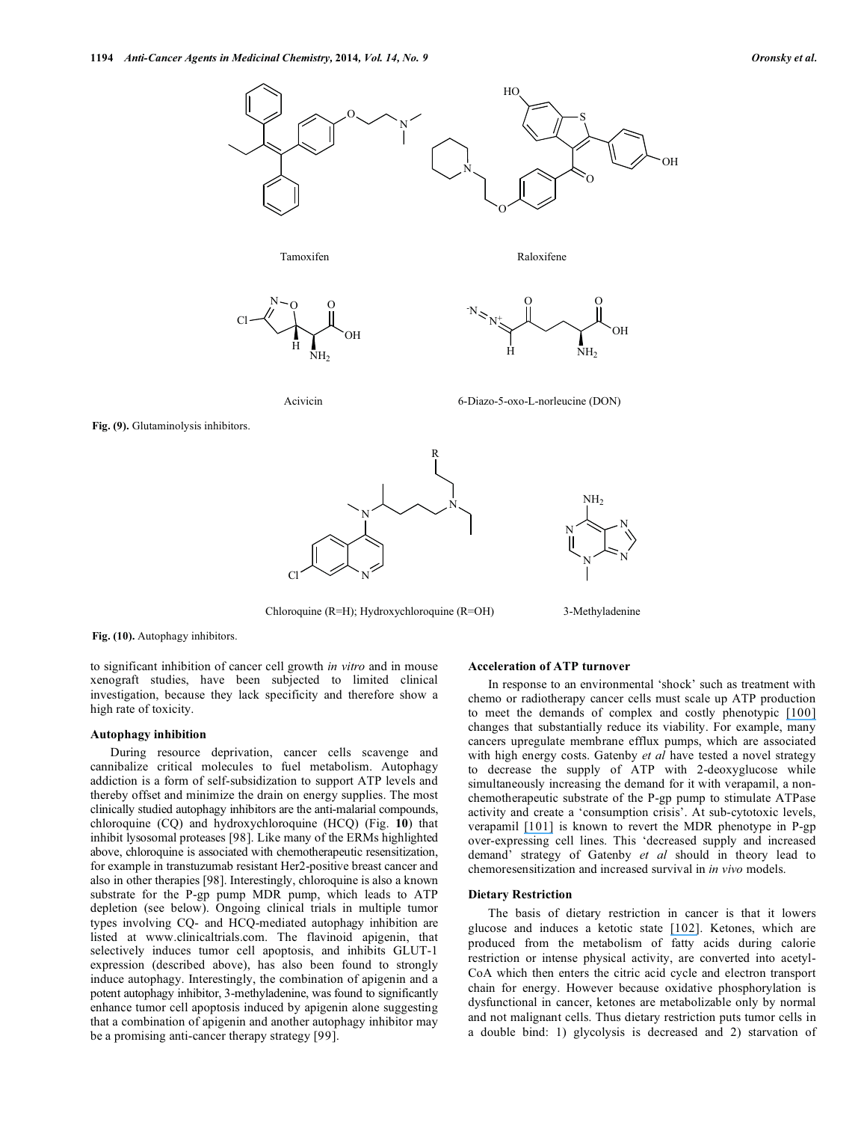

Tamoxifen





Raloxifene

Acivicin 6-Diazo-5-oxo-L-norleucine (DON)

**Fig. (9).** Glutaminolysis inhibitors.





Chloroquine (R=H); Hydroxychloroquine (R=OH)

3-Methyladenine

**Fig. (10).** Autophagy inhibitors.

to significant inhibition of cancer cell growth *in vitro* and in mouse xenograft studies, have been subjected to limited clinical investigation, because they lack specificity and therefore show a high rate of toxicity.

#### **Autophagy inhibition**

 During resource deprivation, cancer cells scavenge and cannibalize critical molecules to fuel metabolism. Autophagy addiction is a form of self-subsidization to support ATP levels and thereby offset and minimize the drain on energy supplies. The most clinically studied autophagy inhibitors are the anti-malarial compounds, chloroquine (CQ) and hydroxychloroquine (HCQ) (Fig. **10**) that inhibit lysosomal proteases [98]. Like many of the ERMs highlighted above, chloroquine is associated with chemotherapeutic resensitization, for example in transtuzumab resistant Her2-positive breast cancer and also in other therapies [98]. Interestingly, chloroquine is also a known substrate for the P-gp pump MDR pump, which leads to ATP depletion (see below). Ongoing clinical trials in multiple tumor types involving CQ- and HCQ-mediated autophagy inhibition are listed at www.clinicaltrials.com. The flavinoid apigenin, that selectively induces tumor cell apoptosis, and inhibits GLUT-1 expression (described above), has also been found to strongly induce autophagy. Interestingly, the combination of apigenin and a potent autophagy inhibitor, 3-methyladenine, was found to significantly enhance tumor cell apoptosis induced by apigenin alone suggesting that a combination of apigenin and another autophagy inhibitor may be a promising anti-cancer therapy strategy [99].

#### **Acceleration of ATP turnover**

 In response to an environmental 'shock' such as treatment with chemo or radiotherapy cancer cells must scale up ATP production to meet the demands of complex and costly phenotypic [\[100\]](https://www.researchgate.net/publication/43226388_A_theoretical_quantitative_model_for_evolution_of_cancer_chemotherapy_resistance?el=1_x_8&enrichId=rgreq-732366e85863afd1fe6aaaad7f2d5a2b-XXX&enrichSource=Y292ZXJQYWdlOzI2NDYzNzc3MTtBUzoyOTcyMTI1MzQ5MDI3ODVAMTQ0Nzg3MjM5ODM3NQ==) changes that substantially reduce its viability. For example, many cancers upregulate membrane efflux pumps, which are associated with high energy costs. Gatenby *et al* have tested a novel strategy to decrease the supply of ATP with 2-deoxyglucose while simultaneously increasing the demand for it with verapamil, a nonchemotherapeutic substrate of the P-gp pump to stimulate ATPase activity and create a 'consumption crisis'. At sub-cytotoxic levels, verapamil [\[101\]](https://www.researchgate.net/publication/19976351_Verapamil_reversal_of_doxorubicin_resistance_in_multidrug-resistant_human_myeloma_cell_and_association_with_drug_accumulation_and_DNA_damage?el=1_x_8&enrichId=rgreq-732366e85863afd1fe6aaaad7f2d5a2b-XXX&enrichSource=Y292ZXJQYWdlOzI2NDYzNzc3MTtBUzoyOTcyMTI1MzQ5MDI3ODVAMTQ0Nzg3MjM5ODM3NQ==) is known to revert the MDR phenotype in P-gp over-expressing cell lines. This 'decreased supply and increased demand' strategy of Gatenby *et al* should in theory lead to chemoresensitization and increased survival in *in vivo* models.

#### **Dietary Restriction**

 The basis of dietary restriction in cancer is that it lowers glucose and induces a ketotic state [\[102\]](https://www.researchgate.net/publication/6491593_The_calorically_restricted_ketogenic_diet_an_effective_alternative_therapy_for_malignant_brain_cancer?el=1_x_8&enrichId=rgreq-732366e85863afd1fe6aaaad7f2d5a2b-XXX&enrichSource=Y292ZXJQYWdlOzI2NDYzNzc3MTtBUzoyOTcyMTI1MzQ5MDI3ODVAMTQ0Nzg3MjM5ODM3NQ==). Ketones, which are produced from the metabolism of fatty acids during calorie restriction or intense physical activity, are converted into acetyl-CoA which then enters the citric acid cycle and electron transport chain for energy. However because oxidative phosphorylation is dysfunctional in cancer, ketones are metabolizable only by normal and not malignant cells. Thus dietary restriction puts tumor cells in a double bind: 1) glycolysis is decreased and 2) starvation of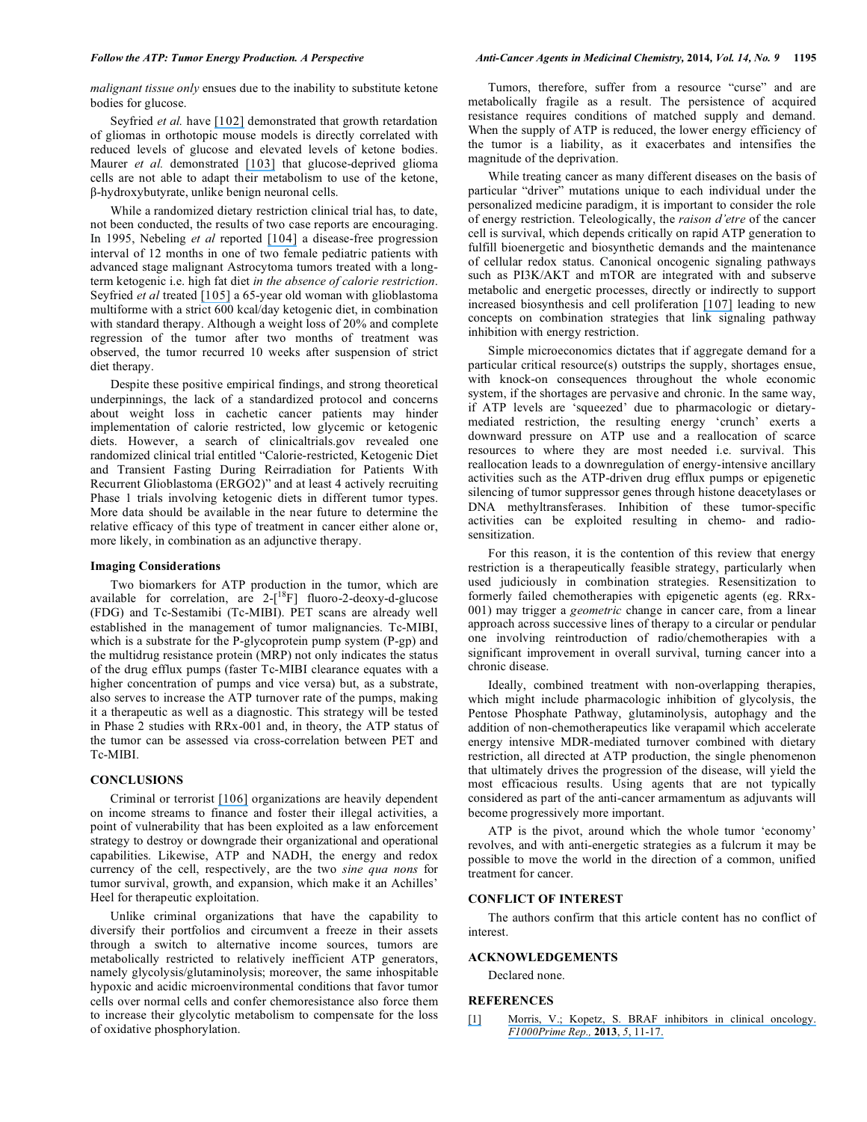*malignant tissue only* ensues due to the inability to substitute ketone bodies for glucose.

Seyfried *et al.* have [\[102\]](https://www.researchgate.net/publication/6491593_The_calorically_restricted_ketogenic_diet_an_effective_alternative_therapy_for_malignant_brain_cancer?el=1_x_8&enrichId=rgreq-732366e85863afd1fe6aaaad7f2d5a2b-XXX&enrichSource=Y292ZXJQYWdlOzI2NDYzNzc3MTtBUzoyOTcyMTI1MzQ5MDI3ODVAMTQ0Nzg3MjM5ODM3NQ==) demonstrated that growth retardation of gliomas in orthotopic mouse models is directly correlated with reduced levels of glucose and elevated levels of ketone bodies. Maurer *et al.* demonstrated [\[103\]](https://www.researchgate.net/publication/51522900_Differential_utilization_of_ketone_bodies_by_neurons_and_glioma_cell_lines_A_rationale_for_ketogenic_diet_as_experimental_glioma_therapy?el=1_x_8&enrichId=rgreq-732366e85863afd1fe6aaaad7f2d5a2b-XXX&enrichSource=Y292ZXJQYWdlOzI2NDYzNzc3MTtBUzoyOTcyMTI1MzQ5MDI3ODVAMTQ0Nzg3MjM5ODM3NQ==) that glucose-deprived glioma cells are not able to adapt their metabolism to use of the ketone, β-hydroxybutyrate, unlike benign neuronal cells.

 While a randomized dietary restriction clinical trial has, to date, not been conducted, the results of two case reports are encouraging. In 1995, Nebeling *et al* reported [\[104\]](https://www.researchgate.net/publication/15407903_Effects_of_a_Ketogenic_Diet_on_Tumor_Metabolism_and_Nutritional_Status_in_Pediatric_Oncology_Patients_Two_Case_Reports?el=1_x_8&enrichId=rgreq-732366e85863afd1fe6aaaad7f2d5a2b-XXX&enrichSource=Y292ZXJQYWdlOzI2NDYzNzc3MTtBUzoyOTcyMTI1MzQ5MDI3ODVAMTQ0Nzg3MjM5ODM3NQ==) a disease-free progression interval of 12 months in one of two female pediatric patients with advanced stage malignant Astrocytoma tumors treated with a longterm ketogenic i.e. high fat diet *in the absence of calorie restriction*. Seyfried *et al* treated [\[105\]](https://www.researchgate.net/publication/43298225_Metabolic_Management_of_glioblastoma_multiforme_using_standard_therapy_together_with_a_restricted_ketogenic_diet_Case_Report?el=1_x_8&enrichId=rgreq-732366e85863afd1fe6aaaad7f2d5a2b-XXX&enrichSource=Y292ZXJQYWdlOzI2NDYzNzc3MTtBUzoyOTcyMTI1MzQ5MDI3ODVAMTQ0Nzg3MjM5ODM3NQ==) a 65-year old woman with glioblastoma multiforme with a strict 600 kcal/day ketogenic diet, in combination with standard therapy. Although a weight loss of 20% and complete regression of the tumor after two months of treatment was observed, the tumor recurred 10 weeks after suspension of strict diet therapy.

 Despite these positive empirical findings, and strong theoretical underpinnings, the lack of a standardized protocol and concerns about weight loss in cachetic cancer patients may hinder implementation of calorie restricted, low glycemic or ketogenic diets. However, a search of clinicaltrials.gov revealed one randomized clinical trial entitled "Calorie-restricted, Ketogenic Diet and Transient Fasting During Reirradiation for Patients With Recurrent Glioblastoma (ERGO2)" and at least 4 actively recruiting Phase 1 trials involving ketogenic diets in different tumor types. More data should be available in the near future to determine the relative efficacy of this type of treatment in cancer either alone or, more likely, in combination as an adjunctive therapy.

#### **Imaging Considerations**

 Two biomarkers for ATP production in the tumor, which are available for correlation, are  $2-[^{18}F]$  fluoro-2-deoxy-d-glucose (FDG) and Tc-Sestamibi (Tc-MIBI). PET scans are already well established in the management of tumor malignancies. Tc-MIBI, which is a substrate for the P-glycoprotein pump system (P-gp) and the multidrug resistance protein (MRP) not only indicates the status of the drug efflux pumps (faster Tc-MIBI clearance equates with a higher concentration of pumps and vice versa) but, as a substrate, also serves to increase the ATP turnover rate of the pumps, making it a therapeutic as well as a diagnostic. This strategy will be tested in Phase 2 studies with RRx-001 and, in theory, the ATP status of the tumor can be assessed via cross-correlation between PET and Tc-MIBI.

#### **CONCLUSIONS**

 Criminal or terrorist [\[106\]](https://www.researchgate.net/publication/275106604_An_Analogy_Between_Cancer_Cells_and_Terrorist_Organizations?el=1_x_8&enrichId=rgreq-732366e85863afd1fe6aaaad7f2d5a2b-XXX&enrichSource=Y292ZXJQYWdlOzI2NDYzNzc3MTtBUzoyOTcyMTI1MzQ5MDI3ODVAMTQ0Nzg3MjM5ODM3NQ==) organizations are heavily dependent on income streams to finance and foster their illegal activities, a point of vulnerability that has been exploited as a law enforcement strategy to destroy or downgrade their organizational and operational capabilities. Likewise, ATP and NADH, the energy and redox currency of the cell, respectively, are the two *sine qua nons* for tumor survival, growth, and expansion, which make it an Achilles' Heel for therapeutic exploitation.

 Unlike criminal organizations that have the capability to diversify their portfolios and circumvent a freeze in their assets through a switch to alternative income sources, tumors are metabolically restricted to relatively inefficient ATP generators, namely glycolysis/glutaminolysis; moreover, the same inhospitable hypoxic and acidic microenvironmental conditions that favor tumor cells over normal cells and confer chemoresistance also force them to increase their glycolytic metabolism to compensate for the loss of oxidative phosphorylation.

 Tumors, therefore, suffer from a resource "curse" and are metabolically fragile as a result. The persistence of acquired resistance requires conditions of matched supply and demand. When the supply of ATP is reduced, the lower energy efficiency of the tumor is a liability, as it exacerbates and intensifies the magnitude of the deprivation.

 While treating cancer as many different diseases on the basis of particular "driver" mutations unique to each individual under the personalized medicine paradigm, it is important to consider the role of energy restriction. Teleologically, the *raison d'etre* of the cancer cell is survival, which depends critically on rapid ATP generation to fulfill bioenergetic and biosynthetic demands and the maintenance of cellular redox status. Canonical oncogenic signaling pathways such as PI3K/AKT and mTOR are integrated with and subserve metabolic and energetic processes, directly or indirectly to support increased biosynthesis and cell proliferation [\[107\]](https://www.researchgate.net/publication/229064382_Therapeutic_targets_in_cancer_cell_metabolism_and_autophagy?el=1_x_8&enrichId=rgreq-732366e85863afd1fe6aaaad7f2d5a2b-XXX&enrichSource=Y292ZXJQYWdlOzI2NDYzNzc3MTtBUzoyOTcyMTI1MzQ5MDI3ODVAMTQ0Nzg3MjM5ODM3NQ==) leading to new concepts on combination strategies that link signaling pathway inhibition with energy restriction.

 Simple microeconomics dictates that if aggregate demand for a particular critical resource(s) outstrips the supply, shortages ensue, with knock-on consequences throughout the whole economic system, if the shortages are pervasive and chronic. In the same way, if ATP levels are 'squeezed' due to pharmacologic or dietarymediated restriction, the resulting energy 'crunch' exerts a downward pressure on ATP use and a reallocation of scarce resources to where they are most needed i.e. survival. This reallocation leads to a downregulation of energy-intensive ancillary activities such as the ATP-driven drug efflux pumps or epigenetic silencing of tumor suppressor genes through histone deacetylases or DNA methyltransferases. Inhibition of these tumor-specific activities can be exploited resulting in chemo- and radiosensitization.

 For this reason, it is the contention of this review that energy restriction is a therapeutically feasible strategy, particularly when used judiciously in combination strategies. Resensitization to formerly failed chemotherapies with epigenetic agents (eg. RRx-001) may trigger a *geometric* change in cancer care, from a linear approach across successive lines of therapy to a circular or pendular one involving reintroduction of radio/chemotherapies with a significant improvement in overall survival, turning cancer into a chronic disease.

 Ideally, combined treatment with non-overlapping therapies, which might include pharmacologic inhibition of glycolysis, the Pentose Phosphate Pathway, glutaminolysis, autophagy and the addition of non-chemotherapeutics like verapamil which accelerate energy intensive MDR-mediated turnover combined with dietary restriction, all directed at ATP production, the single phenomenon that ultimately drives the progression of the disease, will yield the most efficacious results. Using agents that are not typically considered as part of the anti-cancer armamentum as adjuvants will become progressively more important.

 ATP is the pivot, around which the whole tumor 'economy' revolves, and with anti-energetic strategies as a fulcrum it may be possible to move the world in the direction of a common, unified treatment for cancer.

## **CONFLICT OF INTEREST**

 The authors confirm that this article content has no conflict of interest.

#### **ACKNOWLEDGEMENTS**

Declared none.

#### **REFERENCES**

[\[1\]](https://www.researchgate.net/publication/236182584_BRAF_inhibitors_in_clinical_oncology?el=1_x_8&enrichId=rgreq-732366e85863afd1fe6aaaad7f2d5a2b-XXX&enrichSource=Y292ZXJQYWdlOzI2NDYzNzc3MTtBUzoyOTcyMTI1MzQ5MDI3ODVAMTQ0Nzg3MjM5ODM3NQ==) Morris, V.; Kopetz, S. BRAF inhibitors in clinical oncology. *[F1000Prime Rep.,](https://www.researchgate.net/publication/236182584_BRAF_inhibitors_in_clinical_oncology?el=1_x_8&enrichId=rgreq-732366e85863afd1fe6aaaad7f2d5a2b-XXX&enrichSource=Y292ZXJQYWdlOzI2NDYzNzc3MTtBUzoyOTcyMTI1MzQ5MDI3ODVAMTQ0Nzg3MjM5ODM3NQ==)* **2013**, *5*, 11-17.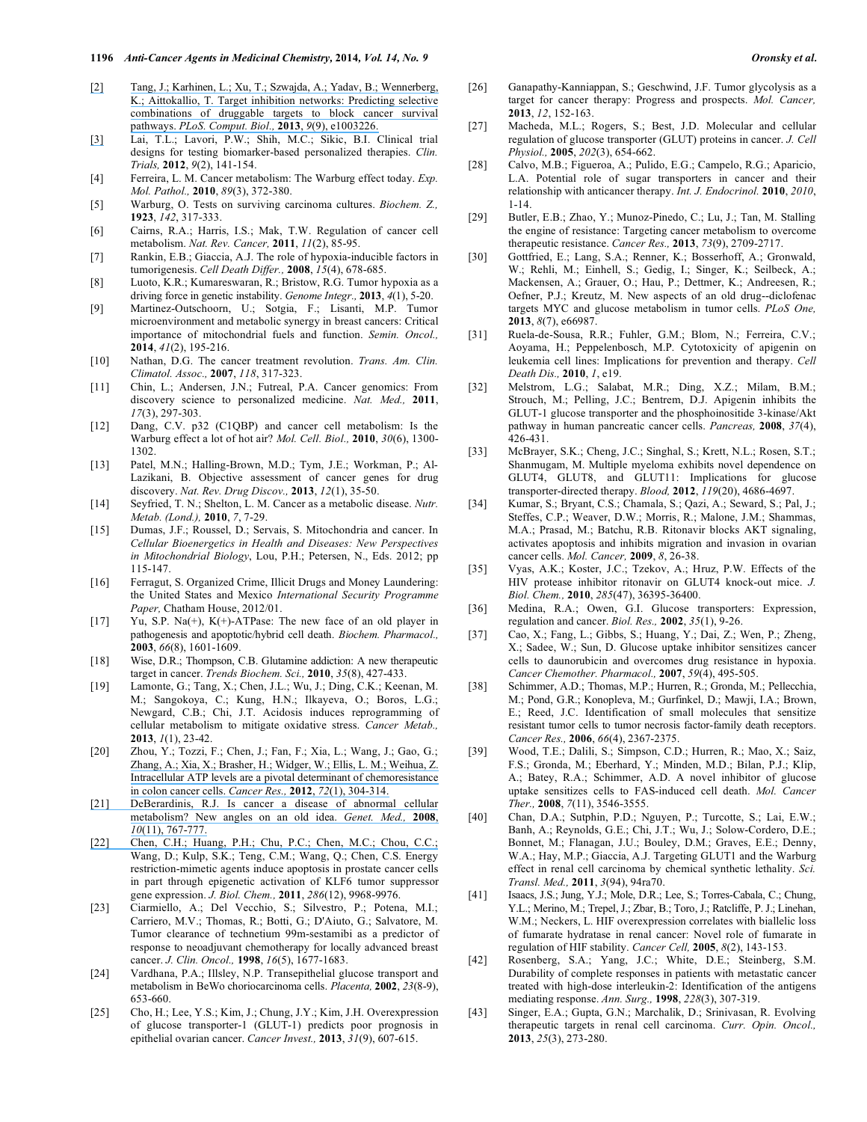- [\[2\]](https://www.researchgate.net/publication/257075075_Target_Inhibition_Networks_Predicting_Selective_Combinations_of_Druggable_Targets_to_Block_Cancer_Survival_Pathways?el=1_x_8&enrichId=rgreq-732366e85863afd1fe6aaaad7f2d5a2b-XXX&enrichSource=Y292ZXJQYWdlOzI2NDYzNzc3MTtBUzoyOTcyMTI1MzQ5MDI3ODVAMTQ0Nzg3MjM5ODM3NQ==) [Tang, J.; Karhinen, L.; Xu, T.; Szwajda, A.; Yadav, B.; Wennerberg,](https://www.researchgate.net/publication/257075075_Target_Inhibition_Networks_Predicting_Selective_Combinations_of_Druggable_Targets_to_Block_Cancer_Survival_Pathways?el=1_x_8&enrichId=rgreq-732366e85863afd1fe6aaaad7f2d5a2b-XXX&enrichSource=Y292ZXJQYWdlOzI2NDYzNzc3MTtBUzoyOTcyMTI1MzQ5MDI3ODVAMTQ0Nzg3MjM5ODM3NQ==)  [K.; Aittokallio, T. Target inhibition networks: Predicting selective](https://www.researchgate.net/publication/257075075_Target_Inhibition_Networks_Predicting_Selective_Combinations_of_Druggable_Targets_to_Block_Cancer_Survival_Pathways?el=1_x_8&enrichId=rgreq-732366e85863afd1fe6aaaad7f2d5a2b-XXX&enrichSource=Y292ZXJQYWdlOzI2NDYzNzc3MTtBUzoyOTcyMTI1MzQ5MDI3ODVAMTQ0Nzg3MjM5ODM3NQ==)  [combinations of druggable targets to block cancer survival](https://www.researchgate.net/publication/257075075_Target_Inhibition_Networks_Predicting_Selective_Combinations_of_Druggable_Targets_to_Block_Cancer_Survival_Pathways?el=1_x_8&enrichId=rgreq-732366e85863afd1fe6aaaad7f2d5a2b-XXX&enrichSource=Y292ZXJQYWdlOzI2NDYzNzc3MTtBUzoyOTcyMTI1MzQ5MDI3ODVAMTQ0Nzg3MjM5ODM3NQ==)  pathways. *[PLoS. Comput. Biol.,](https://www.researchgate.net/publication/257075075_Target_Inhibition_Networks_Predicting_Selective_Combinations_of_Druggable_Targets_to_Block_Cancer_Survival_Pathways?el=1_x_8&enrichId=rgreq-732366e85863afd1fe6aaaad7f2d5a2b-XXX&enrichSource=Y292ZXJQYWdlOzI2NDYzNzc3MTtBUzoyOTcyMTI1MzQ5MDI3ODVAMTQ0Nzg3MjM5ODM3NQ==)* **2013**, *9*(9), e1003226.
- [\[3\]](https://www.researchgate.net/publication/257075075_Target_Inhibition_Networks_Predicting_Selective_Combinations_of_Druggable_Targets_to_Block_Cancer_Survival_Pathways?el=1_x_8&enrichId=rgreq-732366e85863afd1fe6aaaad7f2d5a2b-XXX&enrichSource=Y292ZXJQYWdlOzI2NDYzNzc3MTtBUzoyOTcyMTI1MzQ5MDI3ODVAMTQ0Nzg3MjM5ODM3NQ==) Lai, T.L.; Lavori, P.W.; Shih, M.C.; Sikic, B.I. Clinical trial designs for testing biomarker-based personalized therapies. *Clin. Trials,* **2012**, *9*(2), 141-154.
- [4] Ferreira, L. M. Cancer metabolism: The Warburg effect today. *Exp. Mol. Pathol.,* **2010**, *89*(3), 372-380.
- [5] Warburg, O. Tests on surviving carcinoma cultures. *Biochem. Z.,*  **1923**, *142*, 317-333.
- [6] Cairns, R.A.; Harris, I.S.; Mak, T.W. Regulation of cancer cell metabolism. *Nat. Rev. Cancer,* **2011**, *11*(2), 85-95.
- [7] Rankin, E.B.; Giaccia, A.J. The role of hypoxia-inducible factors in tumorigenesis. *Cell Death Differ.,* **2008**, *15*(4), 678-685.
- [8] Luoto, K.R.; Kumareswaran, R.; Bristow, R.G. Tumor hypoxia as a driving force in genetic instability. *Genome Integr.,* **2013**, *4*(1), 5-20.
- [9] Martinez-Outschoorn, U.; Sotgia, F.; Lisanti, M.P. Tumor microenvironment and metabolic synergy in breast cancers: Critical importance of mitochondrial fuels and function. *Semin. Oncol.,*  **2014**, *41*(2), 195-216.
- [10] Nathan, D.G. The cancer treatment revolution. *Trans. Am. Clin. Climatol. Assoc.,* **2007**, *118*, 317-323.
- [11] Chin, L.; Andersen, J.N.; Futreal, P.A. Cancer genomics: From discovery science to personalized medicine. *Nat. Med.,* **2011**, *17*(3), 297-303.
- [12] Dang, C.V. p32 (C1QBP) and cancer cell metabolism: Is the Warburg effect a lot of hot air? *Mol. Cell. Biol.,* **2010**, *30*(6), 1300- 1302.
- [13] Patel, M.N.; Halling-Brown, M.D.; Tym, J.E.; Workman, P.; Al-Lazikani, B. Objective assessment of cancer genes for drug discovery. *Nat. Rev. Drug Discov.,* **2013**, *12*(1), 35-50.
- [14] Seyfried, T. N.; Shelton, L. M. Cancer as a metabolic disease. *Nutr. Metab. (Lond.),* **2010**, *7*, 7-29.
- [15] Dumas, J.F.; Roussel, D.; Servais, S. Mitochondria and cancer. In *Cellular Bioenergetics in Health and Diseases: New Perspectives in Mitochondrial Biology*, Lou, P.H.; Petersen, N., Eds. 2012; pp 115-147.
- [16] Ferragut, S. Organized Crime, Illicit Drugs and Money Laundering: the United States and Mexico *International Security Programme Paper,* Chatham House, 2012/01.
- [17] Yu, S.P. Na(+), K(+)-ATPase: The new face of an old player in pathogenesis and apoptotic/hybrid cell death. *Biochem. Pharmacol.,*  **2003**, *66*(8), 1601-1609.
- [18] Wise, D.R.; Thompson, C.B. Glutamine addiction: A new therapeutic target in cancer. *Trends Biochem. Sci.,* **2010**, *35*(8), 427-433.
- [19] Lamonte, G.; Tang, X.; Chen, J.L.; Wu, J.; Ding, C.K.; Keenan, M. M.; Sangokoya, C.; Kung, H.N.; Ilkayeva, O.; Boros, L.G.; Newgard, C.B.; Chi, J.T. Acidosis induces reprogramming of cellular metabolism to mitigate oxidative stress. *Cancer Metab.,*  **2013**, *1*(1), 23-42.
- [20] Zhou, Y.; Tozzi, F.; Chen, J.; Fan, F.; Xia, L.; Wang, J.; Gao, G.; [Zhang, A.; Xia, X.; Brasher, H.; Widger, W.; Ellis, L. M.; Weihua, Z.](https://www.researchgate.net/publication/51799231_Intracellular_ATP_Levels_Are_a_Pivotal_Determinant_of_Chemoresistance_in_Colon_Cancer_Cells?el=1_x_8&enrichId=rgreq-732366e85863afd1fe6aaaad7f2d5a2b-XXX&enrichSource=Y292ZXJQYWdlOzI2NDYzNzc3MTtBUzoyOTcyMTI1MzQ5MDI3ODVAMTQ0Nzg3MjM5ODM3NQ==)  [Intracellular ATP levels are a pivotal determinant of chemoresistance](https://www.researchgate.net/publication/51799231_Intracellular_ATP_Levels_Are_a_Pivotal_Determinant_of_Chemoresistance_in_Colon_Cancer_Cells?el=1_x_8&enrichId=rgreq-732366e85863afd1fe6aaaad7f2d5a2b-XXX&enrichSource=Y292ZXJQYWdlOzI2NDYzNzc3MTtBUzoyOTcyMTI1MzQ5MDI3ODVAMTQ0Nzg3MjM5ODM3NQ==)  [in colon cancer cells.](https://www.researchgate.net/publication/51799231_Intracellular_ATP_Levels_Are_a_Pivotal_Determinant_of_Chemoresistance_in_Colon_Cancer_Cells?el=1_x_8&enrichId=rgreq-732366e85863afd1fe6aaaad7f2d5a2b-XXX&enrichSource=Y292ZXJQYWdlOzI2NDYzNzc3MTtBUzoyOTcyMTI1MzQ5MDI3ODVAMTQ0Nzg3MjM5ODM3NQ==) *Cancer Res.,* **2012**, *72*(1), 304-314.
- [\[21\] DeBerardinis, R.J. Is cancer a disease of abnormal cellular](https://www.researchgate.net/publication/51799231_Intracellular_ATP_Levels_Are_a_Pivotal_Determinant_of_Chemoresistance_in_Colon_Cancer_Cells?el=1_x_8&enrichId=rgreq-732366e85863afd1fe6aaaad7f2d5a2b-XXX&enrichSource=Y292ZXJQYWdlOzI2NDYzNzc3MTtBUzoyOTcyMTI1MzQ5MDI3ODVAMTQ0Nzg3MjM5ODM3NQ==)  [metabolism? New angles on an old idea.](https://www.researchgate.net/publication/51799231_Intracellular_ATP_Levels_Are_a_Pivotal_Determinant_of_Chemoresistance_in_Colon_Cancer_Cells?el=1_x_8&enrichId=rgreq-732366e85863afd1fe6aaaad7f2d5a2b-XXX&enrichSource=Y292ZXJQYWdlOzI2NDYzNzc3MTtBUzoyOTcyMTI1MzQ5MDI3ODVAMTQ0Nzg3MjM5ODM3NQ==) *Genet. Med.,* **2008**, *10*[\(11\), 767-777.](https://www.researchgate.net/publication/51799231_Intracellular_ATP_Levels_Are_a_Pivotal_Determinant_of_Chemoresistance_in_Colon_Cancer_Cells?el=1_x_8&enrichId=rgreq-732366e85863afd1fe6aaaad7f2d5a2b-XXX&enrichSource=Y292ZXJQYWdlOzI2NDYzNzc3MTtBUzoyOTcyMTI1MzQ5MDI3ODVAMTQ0Nzg3MjM5ODM3NQ==)
- [\[22\] Chen, C.H.; Huang, P.H.; Chu, P.C.; Chen, M.C.; Chou, C.C.;](https://www.researchgate.net/publication/51799231_Intracellular_ATP_Levels_Are_a_Pivotal_Determinant_of_Chemoresistance_in_Colon_Cancer_Cells?el=1_x_8&enrichId=rgreq-732366e85863afd1fe6aaaad7f2d5a2b-XXX&enrichSource=Y292ZXJQYWdlOzI2NDYzNzc3MTtBUzoyOTcyMTI1MzQ5MDI3ODVAMTQ0Nzg3MjM5ODM3NQ==) Wang, D.; Kulp, S.K.; Teng, C.M.; Wang, Q.; Chen, C.S. Energy restriction-mimetic agents induce apoptosis in prostate cancer cells in part through epigenetic activation of KLF6 tumor suppressor gene expression. *J. Biol. Chem.,* **2011**, *286*(12), 9968-9976.
- [23] Ciarmiello, A.; Del Vecchio, S.; Silvestro, P.; Potena, M.I.; Carriero, M.V.; Thomas, R.; Botti, G.; D'Aiuto, G.; Salvatore, M. Tumor clearance of technetium 99m-sestamibi as a predictor of response to neoadjuvant chemotherapy for locally advanced breast cancer. *J. Clin. Oncol.,* **1998**, *16*(5), 1677-1683.
- [24] Vardhana, P.A.; Illsley, N.P. Transepithelial glucose transport and metabolism in BeWo choriocarcinoma cells. *Placenta,* **2002**, *23*(8-9), 653-660.
- [25] Cho, H.; Lee, Y.S.; Kim, J.; Chung, J.Y.; Kim, J.H. Overexpression of glucose transporter-1 (GLUT-1) predicts poor prognosis in epithelial ovarian cancer. *Cancer Invest.,* **2013**, *31*(9), 607-615.
- [26] Ganapathy-Kanniappan, S.; Geschwind, J.F. Tumor glycolysis as a target for cancer therapy: Progress and prospects. *Mol. Cancer,*  **2013**, *12*, 152-163.
- [27] Macheda, M.L.; Rogers, S.; Best, J.D. Molecular and cellular regulation of glucose transporter (GLUT) proteins in cancer. *J. Cell Physiol.,* **2005**, *202*(3), 654-662.
- [28] Calvo, M.B.; Figueroa, A.; Pulido, E.G.; Campelo, R.G.; Aparicio, L.A. Potential role of sugar transporters in cancer and their relationship with anticancer therapy. *Int. J. Endocrinol.* **2010**, *2010*, 1-14.
- [29] Butler, E.B.; Zhao, Y.; Munoz-Pinedo, C.; Lu, J.; Tan, M. Stalling the engine of resistance: Targeting cancer metabolism to overcome therapeutic resistance. *Cancer Res.,* **2013**, *73*(9), 2709-2717.
- [30] Gottfried, E.; Lang, S.A.; Renner, K.; Bosserhoff, A.; Gronwald, W.; Rehli, M.; Einhell, S.; Gedig, I.; Singer, K.; Seilbeck, A.; Mackensen, A.; Grauer, O.; Hau, P.; Dettmer, K.; Andreesen, R.; Oefner, P.J.; Kreutz, M. New aspects of an old drug--diclofenac targets MYC and glucose metabolism in tumor cells. *PLoS One,*  **2013**, *8*(7), e66987.
- [31] Ruela-de-Sousa, R.R.; Fuhler, G.M.; Blom, N.; Ferreira, C.V.; Aoyama, H.; Peppelenbosch, M.P. Cytotoxicity of apigenin on leukemia cell lines: Implications for prevention and therapy. *Cell Death Dis.,* **2010**, *1*, e19.
- [32] Melstrom, L.G.; Salabat, M.R.; Ding, X.Z.; Milam, B.M.; Strouch, M.; Pelling, J.C.; Bentrem, D.J. Apigenin inhibits the GLUT-1 glucose transporter and the phosphoinositide 3-kinase/Akt pathway in human pancreatic cancer cells. *Pancreas,* **2008**, *37*(4), 426-431.
- [33] McBrayer, S.K.; Cheng, J.C.; Singhal, S.; Krett, N.L.; Rosen, S.T.; Shanmugam, M. Multiple myeloma exhibits novel dependence on GLUT4, GLUT8, and GLUT11: Implications for glucose transporter-directed therapy. *Blood,* **2012**, *119*(20), 4686-4697.
- [34] Kumar, S.; Bryant, C.S.; Chamala, S.; Qazi, A.; Seward, S.; Pal, J.; Steffes, C.P.; Weaver, D.W.; Morris, R.; Malone, J.M.; Shammas, M.A.; Prasad, M.; Batchu, R.B. Ritonavir blocks AKT signaling, activates apoptosis and inhibits migration and invasion in ovarian cancer cells. *Mol. Cancer,* **2009**, *8*, 26-38.
- [35] Vyas, A.K.; Koster, J.C.; Tzekov, A.; Hruz, P.W. Effects of the HIV protease inhibitor ritonavir on GLUT4 knock-out mice. *J. Biol. Chem.,* **2010**, *285*(47), 36395-36400.
- [36] Medina, R.A.; Owen, G.I. Glucose transporters: Expression, regulation and cancer. *Biol. Res.,* **2002**, *35*(1), 9-26.
- [37] Cao, X.; Fang, L.; Gibbs, S.; Huang, Y.; Dai, Z.; Wen, P.; Zheng, X.; Sadee, W.; Sun, D. Glucose uptake inhibitor sensitizes cancer cells to daunorubicin and overcomes drug resistance in hypoxia. *Cancer Chemother. Pharmacol.,* **2007**, *59*(4), 495-505.
- [38] Schimmer, A.D.; Thomas, M.P.; Hurren, R.; Gronda, M.; Pellecchia, M.; Pond, G.R.; Konopleva, M.; Gurfinkel, D.; Mawji, I.A.; Brown, E.; Reed, J.C. Identification of small molecules that sensitize resistant tumor cells to tumor necrosis factor-family death receptors. *Cancer Res.,* **2006**, *66*(4), 2367-2375.
- [39] Wood, T.E.; Dalili, S.; Simpson, C.D.; Hurren, R.; Mao, X.; Saiz, F.S.; Gronda, M.; Eberhard, Y.; Minden, M.D.; Bilan, P.J.; Klip, A.; Batey, R.A.; Schimmer, A.D. A novel inhibitor of glucose uptake sensitizes cells to FAS-induced cell death. *Mol. Cancer Ther.,* **2008**, *7*(11), 3546-3555.
- [40] Chan, D.A.; Sutphin, P.D.; Nguyen, P.; Turcotte, S.; Lai, E.W.; Banh, A.; Reynolds, G.E.; Chi, J.T.; Wu, J.; Solow-Cordero, D.E.; Bonnet, M.; Flanagan, J.U.; Bouley, D.M.; Graves, E.E.; Denny, W.A.; Hay, M.P.; Giaccia, A.J. Targeting GLUT1 and the Warburg effect in renal cell carcinoma by chemical synthetic lethality. *Sci. Transl. Med.,* **2011**, *3*(94), 94ra70.
- [41] Isaacs, J.S.; Jung, Y.J.; Mole, D.R.; Lee, S.; Torres-Cabala, C.; Chung, Y.L.; Merino, M.; Trepel, J.; Zbar, B.; Toro, J.; Ratcliffe, P. J.; Linehan, W.M.; Neckers, L. HIF overexpression correlates with biallelic loss of fumarate hydratase in renal cancer: Novel role of fumarate in regulation of HIF stability. *Cancer Cell,* **2005**, *8*(2), 143-153.
- [42] Rosenberg, S.A.; Yang, J.C.; White, D.E.; Steinberg, S.M. Durability of complete responses in patients with metastatic cancer treated with high-dose interleukin-2: Identification of the antigens mediating response. *Ann. Surg.,* **1998**, *228*(3), 307-319.
- [43] Singer, E.A.; Gupta, G.N.; Marchalik, D.; Srinivasan, R. Evolving therapeutic targets in renal cell carcinoma. *Curr. Opin. Oncol.,*  **2013**, *25*(3), 273-280.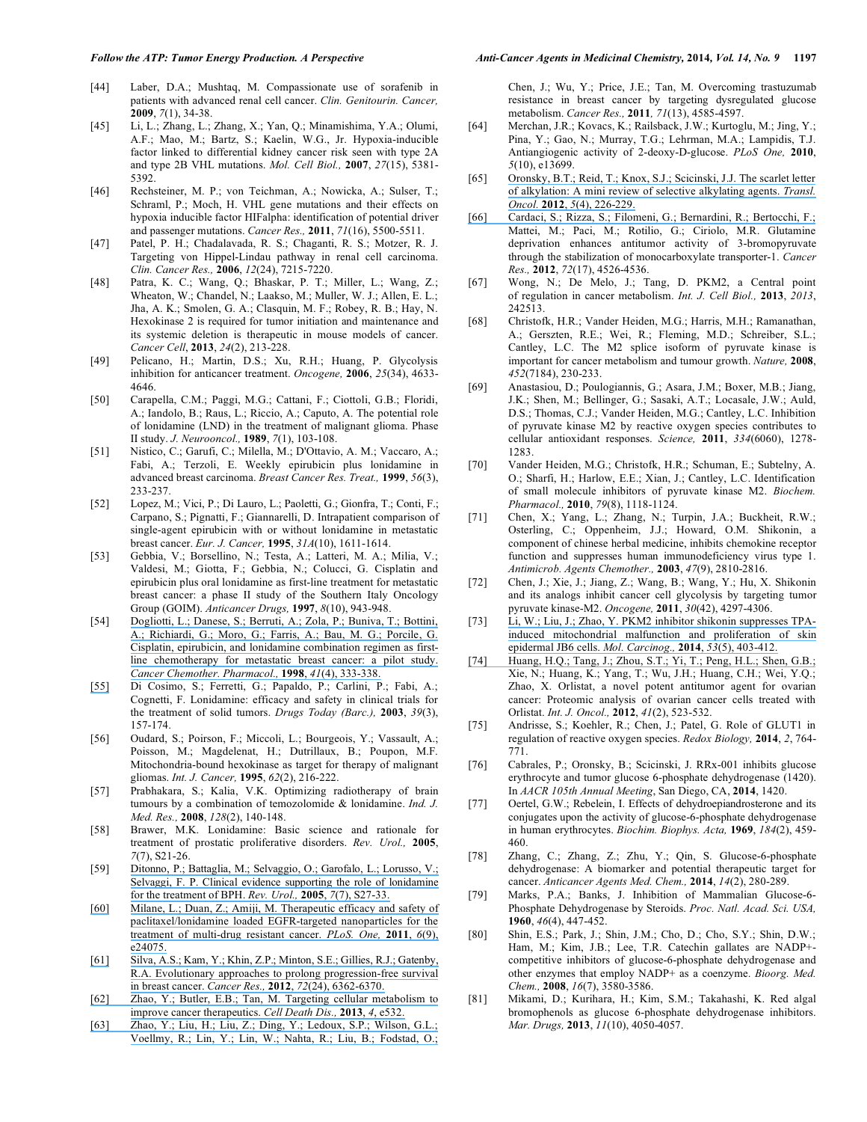- [44] Laber, D.A.; Mushtaq, M. Compassionate use of sorafenib in patients with advanced renal cell cancer. *Clin. Genitourin. Cancer,*  **2009**, *7*(1), 34-38.
- [45] Li, L.; Zhang, L.; Zhang, X.; Yan, Q.; Minamishima, Y.A.; Olumi, A.F.; Mao, M.; Bartz, S.; Kaelin, W.G., Jr. Hypoxia-inducible factor linked to differential kidney cancer risk seen with type 2A and type 2B VHL mutations. *Mol. Cell Biol.,* **2007**, *27*(15), 5381- 5392.
- [46] Rechsteiner, M. P.; von Teichman, A.; Nowicka, A.; Sulser, T.; Schraml, P.; Moch, H. VHL gene mutations and their effects on hypoxia inducible factor HIFalpha: identification of potential driver and passenger mutations. *Cancer Res.,* **2011**, *71*(16), 5500-5511.
- [47] Patel, P. H.; Chadalavada, R. S.; Chaganti, R. S.; Motzer, R. J. Targeting von Hippel-Lindau pathway in renal cell carcinoma. *Clin. Cancer Res.,* **2006**, *12*(24), 7215-7220.
- [48] Patra, K. C.; Wang, Q.; Bhaskar, P. T.; Miller, L.; Wang, Z.; Wheaton, W.; Chandel, N.; Laakso, M.; Muller, W. J.; Allen, E. L.; Jha, A. K.; Smolen, G. A.; Clasquin, M. F.; Robey, R. B.; Hay, N. Hexokinase 2 is required for tumor initiation and maintenance and its systemic deletion is therapeutic in mouse models of cancer. *Cancer Cell*, **2013**, *24*(2), 213-228.
- [49] Pelicano, H.; Martin, D.S.; Xu, R.H.; Huang, P. Glycolysis inhibition for anticancer treatment. *Oncogene,* **2006**, *25*(34), 4633- 4646.
- [50] Carapella, C.M.; Paggi, M.G.; Cattani, F.; Ciottoli, G.B.; Floridi, A.; Iandolo, B.; Raus, L.; Riccio, A.; Caputo, A. The potential role of lonidamine (LND) in the treatment of malignant glioma. Phase II study. *J. Neurooncol.,* **1989**, *7*(1), 103-108.
- [51] Nistico, C.; Garufi, C.; Milella, M.; D'Ottavio, A. M.; Vaccaro, A.; Fabi, A.; Terzoli, E. Weekly epirubicin plus lonidamine in advanced breast carcinoma. *Breast Cancer Res. Treat.,* **1999**, *56*(3), 233-237.
- [52] Lopez, M.; Vici, P.; Di Lauro, L.; Paoletti, G.; Gionfra, T.; Conti, F.; Carpano, S.; Pignatti, F.; Giannarelli, D. Intrapatient comparison of single-agent epirubicin with or without lonidamine in metastatic breast cancer. *Eur. J. Cancer,* **1995**, *31A*(10), 1611-1614.
- [53] Gebbia, V.; Borsellino, N.; Testa, A.; Latteri, M. A.; Milia, V.; Valdesi, M.; Giotta, F.; Gebbia, N.; Colucci, G. Cisplatin and epirubicin plus oral lonidamine as first-line treatment for metastatic breast cancer: a phase II study of the Southern Italy Oncology Group (GOIM). *Anticancer Drugs,* **1997**, *8*(10), 943-948.
- [54] [Dogliotti, L.; Danese, S.; Berruti, A.; Zola, P.; Buniva, T.; Bottini,](https://www.researchgate.net/publication/13742285_Cisplatin_epirubicin_and_lonidamine_combination_regimen_as_first-line_chemotherapy_for_metastatic_Breast_cancer_A_pilot_study?el=1_x_8&enrichId=rgreq-732366e85863afd1fe6aaaad7f2d5a2b-XXX&enrichSource=Y292ZXJQYWdlOzI2NDYzNzc3MTtBUzoyOTcyMTI1MzQ5MDI3ODVAMTQ0Nzg3MjM5ODM3NQ==) [A.; Richiardi, G.; Moro, G.; Farris, A.; Bau, M. G.; Porcile, G.](https://www.researchgate.net/publication/13742285_Cisplatin_epirubicin_and_lonidamine_combination_regimen_as_first-line_chemotherapy_for_metastatic_Breast_cancer_A_pilot_study?el=1_x_8&enrichId=rgreq-732366e85863afd1fe6aaaad7f2d5a2b-XXX&enrichSource=Y292ZXJQYWdlOzI2NDYzNzc3MTtBUzoyOTcyMTI1MzQ5MDI3ODVAMTQ0Nzg3MjM5ODM3NQ==) [Cisplatin, epirubicin, and lonidamine combination regimen as first](https://www.researchgate.net/publication/13742285_Cisplatin_epirubicin_and_lonidamine_combination_regimen_as_first-line_chemotherapy_for_metastatic_Breast_cancer_A_pilot_study?el=1_x_8&enrichId=rgreq-732366e85863afd1fe6aaaad7f2d5a2b-XXX&enrichSource=Y292ZXJQYWdlOzI2NDYzNzc3MTtBUzoyOTcyMTI1MzQ5MDI3ODVAMTQ0Nzg3MjM5ODM3NQ==)[line chemotherapy for metastatic breast cancer: a pilot study.](https://www.researchgate.net/publication/13742285_Cisplatin_epirubicin_and_lonidamine_combination_regimen_as_first-line_chemotherapy_for_metastatic_Breast_cancer_A_pilot_study?el=1_x_8&enrichId=rgreq-732366e85863afd1fe6aaaad7f2d5a2b-XXX&enrichSource=Y292ZXJQYWdlOzI2NDYzNzc3MTtBUzoyOTcyMTI1MzQ5MDI3ODVAMTQ0Nzg3MjM5ODM3NQ==)  *[Cancer Chemother. Pharmacol.,](https://www.researchgate.net/publication/13742285_Cisplatin_epirubicin_and_lonidamine_combination_regimen_as_first-line_chemotherapy_for_metastatic_Breast_cancer_A_pilot_study?el=1_x_8&enrichId=rgreq-732366e85863afd1fe6aaaad7f2d5a2b-XXX&enrichSource=Y292ZXJQYWdlOzI2NDYzNzc3MTtBUzoyOTcyMTI1MzQ5MDI3ODVAMTQ0Nzg3MjM5ODM3NQ==)* **1998**, *41*(4), 333-338.
- [\[55\]](https://www.researchgate.net/publication/13742285_Cisplatin_epirubicin_and_lonidamine_combination_regimen_as_first-line_chemotherapy_for_metastatic_Breast_cancer_A_pilot_study?el=1_x_8&enrichId=rgreq-732366e85863afd1fe6aaaad7f2d5a2b-XXX&enrichSource=Y292ZXJQYWdlOzI2NDYzNzc3MTtBUzoyOTcyMTI1MzQ5MDI3ODVAMTQ0Nzg3MjM5ODM3NQ==) Di Cosimo, S.; Ferretti, G.; Papaldo, P.; Carlini, P.; Fabi, A.; Cognetti, F. Lonidamine: efficacy and safety in clinical trials for the treatment of solid tumors. *Drugs Today (Barc.),* **2003**, *39*(3), 157-174.
- [56] Oudard, S.; Poirson, F.; Miccoli, L.; Bourgeois, Y.; Vassault, A.; Poisson, M.; Magdelenat, H.; Dutrillaux, B.; Poupon, M.F. Mitochondria-bound hexokinase as target for therapy of malignant gliomas. *Int. J. Cancer,* **1995**, *62*(2), 216-222.
- [57] Prabhakara, S.; Kalia, V.K. Optimizing radiotherapy of brain tumours by a combination of temozolomide & lonidamine. *Ind. J. Med. Res.,* **2008**, *128*(2), 140-148.
- [58] Brawer, M.K. Lonidamine: Basic science and rationale for treatment of prostatic proliferative disorders. *Rev. Urol.,* **2005**, *7*(7), S21-26.
- [59] [Ditonno, P.; Battaglia, M.; Selvaggio, O.; Garofalo, L.; Lorusso, V.;](https://www.researchgate.net/publication/6808518_Clinical_Evidence_Supporting_the_Role_of_Lonidamine_for_the_Treatment_of_BPH?el=1_x_8&enrichId=rgreq-732366e85863afd1fe6aaaad7f2d5a2b-XXX&enrichSource=Y292ZXJQYWdlOzI2NDYzNzc3MTtBUzoyOTcyMTI1MzQ5MDI3ODVAMTQ0Nzg3MjM5ODM3NQ==)  [Selvaggi, F. P. Clinical evidence supporting the role of lonidamine](https://www.researchgate.net/publication/6808518_Clinical_Evidence_Supporting_the_Role_of_Lonidamine_for_the_Treatment_of_BPH?el=1_x_8&enrichId=rgreq-732366e85863afd1fe6aaaad7f2d5a2b-XXX&enrichSource=Y292ZXJQYWdlOzI2NDYzNzc3MTtBUzoyOTcyMTI1MzQ5MDI3ODVAMTQ0Nzg3MjM5ODM3NQ==)  [for the treatment of BPH.](https://www.researchgate.net/publication/6808518_Clinical_Evidence_Supporting_the_Role_of_Lonidamine_for_the_Treatment_of_BPH?el=1_x_8&enrichId=rgreq-732366e85863afd1fe6aaaad7f2d5a2b-XXX&enrichSource=Y292ZXJQYWdlOzI2NDYzNzc3MTtBUzoyOTcyMTI1MzQ5MDI3ODVAMTQ0Nzg3MjM5ODM3NQ==) *Rev. Urol.,* **2005**, *7*(7), S27-33.
- [\[60\]](https://www.researchgate.net/publication/6808518_Clinical_Evidence_Supporting_the_Role_of_Lonidamine_for_the_Treatment_of_BPH?el=1_x_8&enrichId=rgreq-732366e85863afd1fe6aaaad7f2d5a2b-XXX&enrichSource=Y292ZXJQYWdlOzI2NDYzNzc3MTtBUzoyOTcyMTI1MzQ5MDI3ODVAMTQ0Nzg3MjM5ODM3NQ==) [Milane, L.; Duan, Z.; Amiji, M. Therapeutic efficacy and safety of](https://www.researchgate.net/publication/51652939_Therapeutic_Efficacy_and_Safety_of_PaclitaxelLonidamine_Loaded_EGFR-Targeted_Nanoparticles_for_the_Treatment_of_Multi-Drug_Resistant_Cancer?el=1_x_8&enrichId=rgreq-732366e85863afd1fe6aaaad7f2d5a2b-XXX&enrichSource=Y292ZXJQYWdlOzI2NDYzNzc3MTtBUzoyOTcyMTI1MzQ5MDI3ODVAMTQ0Nzg3MjM5ODM3NQ==)  [paclitaxel/lonidamine loaded EGFR-targeted nanoparticles for the](https://www.researchgate.net/publication/51652939_Therapeutic_Efficacy_and_Safety_of_PaclitaxelLonidamine_Loaded_EGFR-Targeted_Nanoparticles_for_the_Treatment_of_Multi-Drug_Resistant_Cancer?el=1_x_8&enrichId=rgreq-732366e85863afd1fe6aaaad7f2d5a2b-XXX&enrichSource=Y292ZXJQYWdlOzI2NDYzNzc3MTtBUzoyOTcyMTI1MzQ5MDI3ODVAMTQ0Nzg3MjM5ODM3NQ==) [treatment of multi-drug resistant cancer.](https://www.researchgate.net/publication/51652939_Therapeutic_Efficacy_and_Safety_of_PaclitaxelLonidamine_Loaded_EGFR-Targeted_Nanoparticles_for_the_Treatment_of_Multi-Drug_Resistant_Cancer?el=1_x_8&enrichId=rgreq-732366e85863afd1fe6aaaad7f2d5a2b-XXX&enrichSource=Y292ZXJQYWdlOzI2NDYzNzc3MTtBUzoyOTcyMTI1MzQ5MDI3ODVAMTQ0Nzg3MjM5ODM3NQ==) *PLoS. One,* **2011**, *6*(9), [e24075.](https://www.researchgate.net/publication/51652939_Therapeutic_Efficacy_and_Safety_of_PaclitaxelLonidamine_Loaded_EGFR-Targeted_Nanoparticles_for_the_Treatment_of_Multi-Drug_Resistant_Cancer?el=1_x_8&enrichId=rgreq-732366e85863afd1fe6aaaad7f2d5a2b-XXX&enrichSource=Y292ZXJQYWdlOzI2NDYzNzc3MTtBUzoyOTcyMTI1MzQ5MDI3ODVAMTQ0Nzg3MjM5ODM3NQ==)
- [\[61\]](https://www.researchgate.net/publication/51652939_Therapeutic_Efficacy_and_Safety_of_PaclitaxelLonidamine_Loaded_EGFR-Targeted_Nanoparticles_for_the_Treatment_of_Multi-Drug_Resistant_Cancer?el=1_x_8&enrichId=rgreq-732366e85863afd1fe6aaaad7f2d5a2b-XXX&enrichSource=Y292ZXJQYWdlOzI2NDYzNzc3MTtBUzoyOTcyMTI1MzQ5MDI3ODVAMTQ0Nzg3MjM5ODM3NQ==) [Silva, A.S.; Kam, Y.; Khin, Z.P.; Minton, S.E.; Gillies, R.J.; Gatenby,](https://www.researchgate.net/publication/232248233_Evolutionary_Approaches_to_Prolong_Progression-Free_Survival_in_Breast_Cancer?el=1_x_8&enrichId=rgreq-732366e85863afd1fe6aaaad7f2d5a2b-XXX&enrichSource=Y292ZXJQYWdlOzI2NDYzNzc3MTtBUzoyOTcyMTI1MzQ5MDI3ODVAMTQ0Nzg3MjM5ODM3NQ==)  [R.A. Evolutionary approaches to prolong progression-free survival](https://www.researchgate.net/publication/232248233_Evolutionary_Approaches_to_Prolong_Progression-Free_Survival_in_Breast_Cancer?el=1_x_8&enrichId=rgreq-732366e85863afd1fe6aaaad7f2d5a2b-XXX&enrichSource=Y292ZXJQYWdlOzI2NDYzNzc3MTtBUzoyOTcyMTI1MzQ5MDI3ODVAMTQ0Nzg3MjM5ODM3NQ==)  [in breast cancer.](https://www.researchgate.net/publication/232248233_Evolutionary_Approaches_to_Prolong_Progression-Free_Survival_in_Breast_Cancer?el=1_x_8&enrichId=rgreq-732366e85863afd1fe6aaaad7f2d5a2b-XXX&enrichSource=Y292ZXJQYWdlOzI2NDYzNzc3MTtBUzoyOTcyMTI1MzQ5MDI3ODVAMTQ0Nzg3MjM5ODM3NQ==) *Cancer Res.,* **2012**, *72*(24), 6362-6370.
- [\[62\] Zhao, Y.; Butler, E.B.; Tan, M. Targeting cellular metabolism to](https://www.researchgate.net/publication/232248233_Evolutionary_Approaches_to_Prolong_Progression-Free_Survival_in_Breast_Cancer?el=1_x_8&enrichId=rgreq-732366e85863afd1fe6aaaad7f2d5a2b-XXX&enrichSource=Y292ZXJQYWdlOzI2NDYzNzc3MTtBUzoyOTcyMTI1MzQ5MDI3ODVAMTQ0Nzg3MjM5ODM3NQ==)  [improve cancer therapeutics.](https://www.researchgate.net/publication/232248233_Evolutionary_Approaches_to_Prolong_Progression-Free_Survival_in_Breast_Cancer?el=1_x_8&enrichId=rgreq-732366e85863afd1fe6aaaad7f2d5a2b-XXX&enrichSource=Y292ZXJQYWdlOzI2NDYzNzc3MTtBUzoyOTcyMTI1MzQ5MDI3ODVAMTQ0Nzg3MjM5ODM3NQ==) *Cell Death Dis.,* **2013**, *4*, e532.
- [\[63\] Zhao, Y.; Liu, H.; Liu, Z.; Ding, Y.; Ledoux, S.P.; Wilson, G.L.;](https://www.researchgate.net/publication/232248233_Evolutionary_Approaches_to_Prolong_Progression-Free_Survival_in_Breast_Cancer?el=1_x_8&enrichId=rgreq-732366e85863afd1fe6aaaad7f2d5a2b-XXX&enrichSource=Y292ZXJQYWdlOzI2NDYzNzc3MTtBUzoyOTcyMTI1MzQ5MDI3ODVAMTQ0Nzg3MjM5ODM3NQ==) [Voellmy, R.; Lin, Y.; Lin, W.; Nahta, R.; Liu, B.; Fodstad, O.;](https://www.researchgate.net/publication/232248233_Evolutionary_Approaches_to_Prolong_Progression-Free_Survival_in_Breast_Cancer?el=1_x_8&enrichId=rgreq-732366e85863afd1fe6aaaad7f2d5a2b-XXX&enrichSource=Y292ZXJQYWdlOzI2NDYzNzc3MTtBUzoyOTcyMTI1MzQ5MDI3ODVAMTQ0Nzg3MjM5ODM3NQ==)

Chen, J.; Wu, Y.; Price, J.E.; Tan, M. Overcoming trastuzumab resistance in breast cancer by targeting dysregulated glucose metabolism. *Cancer Res.,* **2011***, 71*(13), 4585-4597.

- [64] Merchan, J.R.; Kovacs, K.; Railsback, J.W.; Kurtoglu, M.; Jing, Y.; Pina, Y.; Gao, N.; Murray, T.G.; Lehrman, M.A.; Lampidis, T.J. Antiangiogenic activity of 2-deoxy-D-glucose. *PLoS One,* **2010**, *5*(10), e13699.
- [65] [Oronsky, B.T.; Reid, T.; Knox, S.J.; Scicinski, J.J. The scarlet letter](https://www.researchgate.net/publication/230769905_The_Scarlet_Letter_of_Alkylation_A_Mini_Review_of_Selective_Alkylating_Agents?el=1_x_8&enrichId=rgreq-732366e85863afd1fe6aaaad7f2d5a2b-XXX&enrichSource=Y292ZXJQYWdlOzI2NDYzNzc3MTtBUzoyOTcyMTI1MzQ5MDI3ODVAMTQ0Nzg3MjM5ODM3NQ==) [of alkylation: A mini review of selective alkylating agents.](https://www.researchgate.net/publication/230769905_The_Scarlet_Letter_of_Alkylation_A_Mini_Review_of_Selective_Alkylating_Agents?el=1_x_8&enrichId=rgreq-732366e85863afd1fe6aaaad7f2d5a2b-XXX&enrichSource=Y292ZXJQYWdlOzI2NDYzNzc3MTtBUzoyOTcyMTI1MzQ5MDI3ODVAMTQ0Nzg3MjM5ODM3NQ==) *Transl. Oncol.* **2012**, *5*[\(4\), 226-229.](https://www.researchgate.net/publication/230769905_The_Scarlet_Letter_of_Alkylation_A_Mini_Review_of_Selective_Alkylating_Agents?el=1_x_8&enrichId=rgreq-732366e85863afd1fe6aaaad7f2d5a2b-XXX&enrichSource=Y292ZXJQYWdlOzI2NDYzNzc3MTtBUzoyOTcyMTI1MzQ5MDI3ODVAMTQ0Nzg3MjM5ODM3NQ==)
- [\[66\] Cardaci, S.; Rizza, S.; Filomeni, G.; Bernardini, R.; Bertocchi, F.;](https://www.researchgate.net/publication/230769905_The_Scarlet_Letter_of_Alkylation_A_Mini_Review_of_Selective_Alkylating_Agents?el=1_x_8&enrichId=rgreq-732366e85863afd1fe6aaaad7f2d5a2b-XXX&enrichSource=Y292ZXJQYWdlOzI2NDYzNzc3MTtBUzoyOTcyMTI1MzQ5MDI3ODVAMTQ0Nzg3MjM5ODM3NQ==) Mattei, M.; Paci, M.; Rotilio, G.; Ciriolo, M.R. Glutamine deprivation enhances antitumor activity of 3-bromopyruvate through the stabilization of monocarboxylate transporter-1. *Cancer Res.,* **2012**, *72*(17), 4526-4536.
- [67] Wong, N.; De Melo, J.; Tang, D. PKM2, a Central point of regulation in cancer metabolism. *Int. J. Cell Biol.,* **2013**, *2013*, 242513.
- [68] Christofk, H.R.; Vander Heiden, M.G.; Harris, M.H.; Ramanathan, A.; Gerszten, R.E.; Wei, R.; Fleming, M.D.; Schreiber, S.L.; Cantley, L.C. The M2 splice isoform of pyruvate kinase is important for cancer metabolism and tumour growth. *Nature,* **2008**, *452*(7184), 230-233.
- [69] Anastasiou, D.; Poulogiannis, G.; Asara, J.M.; Boxer, M.B.; Jiang, J.K.; Shen, M.; Bellinger, G.; Sasaki, A.T.; Locasale, J.W.; Auld, D.S.; Thomas, C.J.; Vander Heiden, M.G.; Cantley, L.C. Inhibition of pyruvate kinase M2 by reactive oxygen species contributes to cellular antioxidant responses. *Science,* **2011**, *334*(6060), 1278- 1283.
- [70] Vander Heiden, M.G.; Christofk, H.R.; Schuman, E.; Subtelny, A. O.; Sharfi, H.; Harlow, E.E.; Xian, J.; Cantley, L.C. Identification of small molecule inhibitors of pyruvate kinase M2. *Biochem. Pharmacol.,* **2010**, *79*(8), 1118-1124.
- [71] Chen, X.; Yang, L.; Zhang, N.; Turpin, J.A.; Buckheit, R.W.; Osterling, C.; Oppenheim, J.J.; Howard, O.M. Shikonin, a component of chinese herbal medicine, inhibits chemokine receptor function and suppresses human immunodeficiency virus type 1. *Antimicrob. Agents Chemother.,* **2003**, *47*(9), 2810-2816.
- [72] Chen, J.; Xie, J.; Jiang, Z.; Wang, B.; Wang, Y.; Hu, X. Shikonin and its analogs inhibit cancer cell glycolysis by targeting tumor pyruvate kinase-M2. *Oncogene,* **2011**, *30*(42), 4297-4306.
- [73] [Li, W.; Liu, J.; Zhao, Y. PKM2 inhibitor shikonin suppresses TPA](https://www.researchgate.net/publication/233958675_PKM2_Inhibitor_Shikonin_Suppresses_TPA-Induced_Mitochondrial_Malfunction_and_Proliferation_of_Skin_Epidermal_JB6_Cells?el=1_x_8&enrichId=rgreq-732366e85863afd1fe6aaaad7f2d5a2b-XXX&enrichSource=Y292ZXJQYWdlOzI2NDYzNzc3MTtBUzoyOTcyMTI1MzQ5MDI3ODVAMTQ0Nzg3MjM5ODM3NQ==)[induced mitochondrial malfunction and proliferation of skin](https://www.researchgate.net/publication/233958675_PKM2_Inhibitor_Shikonin_Suppresses_TPA-Induced_Mitochondrial_Malfunction_and_Proliferation_of_Skin_Epidermal_JB6_Cells?el=1_x_8&enrichId=rgreq-732366e85863afd1fe6aaaad7f2d5a2b-XXX&enrichSource=Y292ZXJQYWdlOzI2NDYzNzc3MTtBUzoyOTcyMTI1MzQ5MDI3ODVAMTQ0Nzg3MjM5ODM3NQ==)  [epidermal JB6 cells.](https://www.researchgate.net/publication/233958675_PKM2_Inhibitor_Shikonin_Suppresses_TPA-Induced_Mitochondrial_Malfunction_and_Proliferation_of_Skin_Epidermal_JB6_Cells?el=1_x_8&enrichId=rgreq-732366e85863afd1fe6aaaad7f2d5a2b-XXX&enrichSource=Y292ZXJQYWdlOzI2NDYzNzc3MTtBUzoyOTcyMTI1MzQ5MDI3ODVAMTQ0Nzg3MjM5ODM3NQ==) *Mol. Carcinog.,* **2014**, *53*(5), 403-412.
- [\[74\] Huang, H.Q.; Tang, J.; Zhou, S.T.; Yi, T.; Peng, H.L.; Shen, G.B.;](https://www.researchgate.net/publication/233958675_PKM2_Inhibitor_Shikonin_Suppresses_TPA-Induced_Mitochondrial_Malfunction_and_Proliferation_of_Skin_Epidermal_JB6_Cells?el=1_x_8&enrichId=rgreq-732366e85863afd1fe6aaaad7f2d5a2b-XXX&enrichSource=Y292ZXJQYWdlOzI2NDYzNzc3MTtBUzoyOTcyMTI1MzQ5MDI3ODVAMTQ0Nzg3MjM5ODM3NQ==) Xie, N.; Huang, K.; Yang, T.; Wu, J.H.; Huang, C.H.; Wei, Y.Q.; Zhao, X. Orlistat, a novel potent antitumor agent for ovarian cancer: Proteomic analysis of ovarian cancer cells treated with Orlistat. *Int. J. Oncol.,* **2012**, *41*(2), 523-532.
- [75] Andrisse, S.; Koehler, R.; Chen, J.; Patel, G. Role of GLUT1 in regulation of reactive oxygen species. *Redox Biology,* **2014**, *2*, 764- 771.
- [76] Cabrales, P.; Oronsky, B.; Scicinski, J. RRx-001 inhibits glucose erythrocyte and tumor glucose 6-phosphate dehydrogenase (1420). In *AACR 105th Annual Meeting*, San Diego, CA, **2014**, 1420.
- [77] Oertel, G.W.; Rebelein, I. Effects of dehydroepiandrosterone and its conjugates upon the activity of glucose-6-phosphate dehydrogenase in human erythrocytes. *Biochim. Biophys. Acta,* **1969**, *184*(2), 459- 460.
- [78] Zhang, C.; Zhang, Z.; Zhu, Y.; Qin, S. Glucose-6-phosphate dehydrogenase: A biomarker and potential therapeutic target for cancer. *Anticancer Agents Med. Chem.,* **2014**, *14*(2), 280-289.
- [79] Marks, P.A.; Banks, J. Inhibition of Mammalian Glucose-6- Phosphate Dehydrogenase by Steroids. *Proc. Natl. Acad. Sci. USA,*  **1960**, *46*(4), 447-452.
- [80] Shin, E.S.; Park, J.; Shin, J.M.; Cho, D.; Cho, S.Y.; Shin, D.W.; Ham, M.; Kim, J.B.; Lee, T.R. Catechin gallates are NADP+ competitive inhibitors of glucose-6-phosphate dehydrogenase and other enzymes that employ NADP+ as a coenzyme. *Bioorg. Med. Chem.,* **2008**, *16*(7), 3580-3586.
- [81] Mikami, D.; Kurihara, H.; Kim, S.M.; Takahashi, K. Red algal bromophenols as glucose 6-phosphate dehydrogenase inhibitors. *Mar. Drugs,* **2013**, *11*(10), 4050-4057.